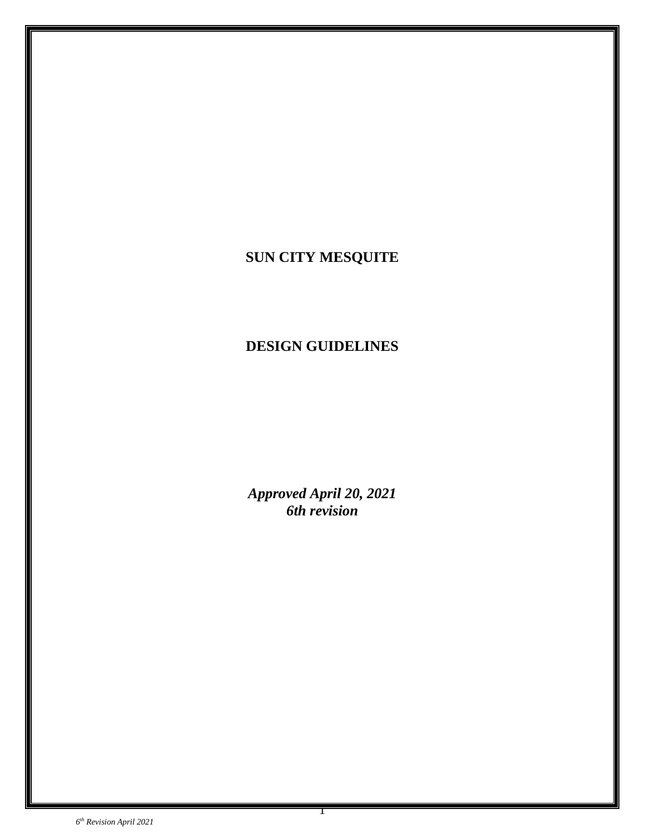# **SUN CITY MESQUITE**

# **DESIGN GUIDELINES**

*Approved April 20, 2021 6th revision*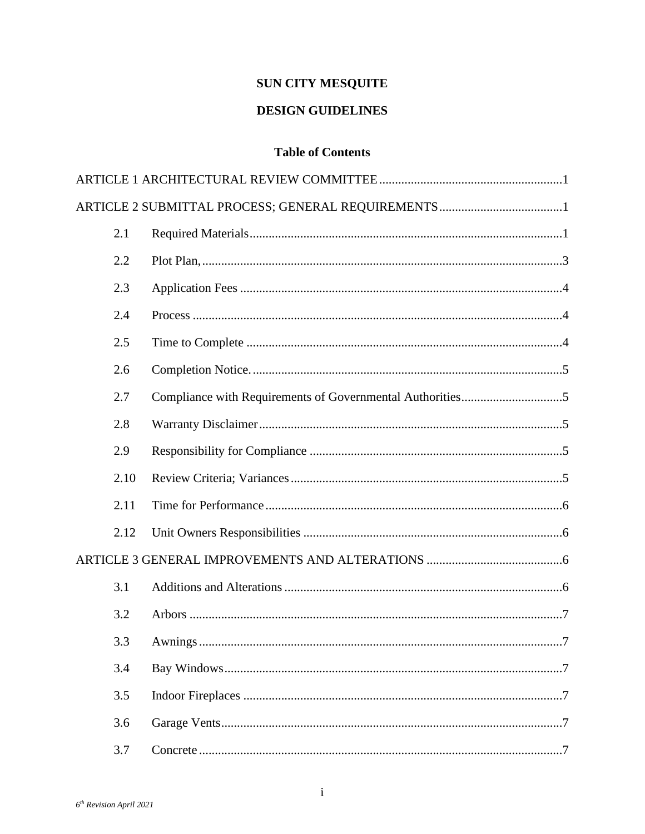# **SUN CITY MESQUITE**

## **DESIGN GUIDELINES**

## **Table of Contents**

| 2.1  |  |
|------|--|
| 2.2  |  |
| 2.3  |  |
| 2.4  |  |
| 2.5  |  |
| 2.6  |  |
| 2.7  |  |
| 2.8  |  |
| 2.9  |  |
| 2.10 |  |
| 2.11 |  |
| 2.12 |  |
|      |  |
| 3.1  |  |
| 3.2  |  |
| 3.3  |  |
| 3.4  |  |
| 3.5  |  |
| 3.6  |  |
| 3.7  |  |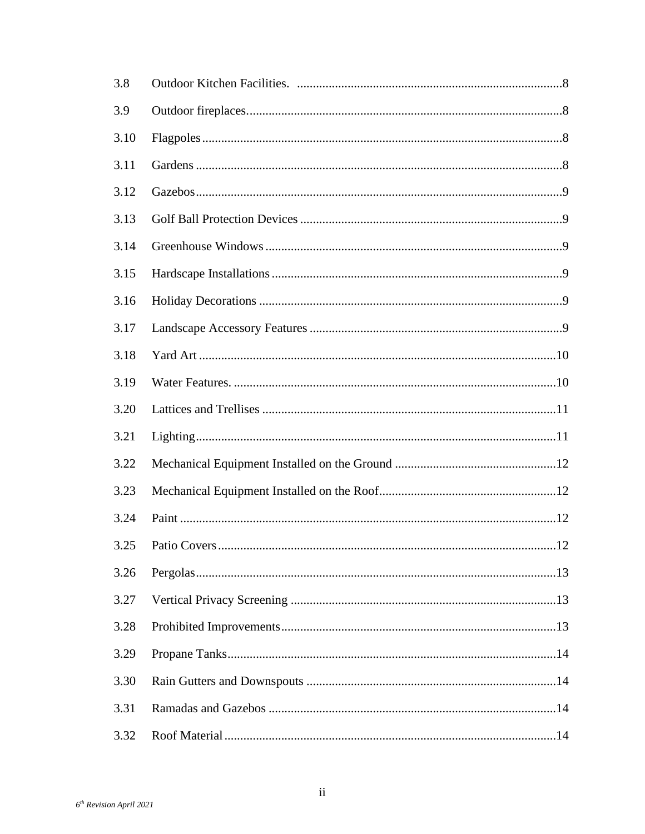| 3.8  |                      |  |
|------|----------------------|--|
| 3.9  |                      |  |
| 3.10 |                      |  |
| 3.11 |                      |  |
| 3.12 |                      |  |
| 3.13 |                      |  |
| 3.14 |                      |  |
| 3.15 |                      |  |
| 3.16 |                      |  |
| 3.17 |                      |  |
| 3.18 |                      |  |
| 3.19 |                      |  |
| 3.20 |                      |  |
| 3.21 |                      |  |
| 3.22 |                      |  |
| 3.23 |                      |  |
| 3.24 |                      |  |
| 3.25 | Patio Covers.<br>.12 |  |
| 3.26 |                      |  |
| 3.27 |                      |  |
| 3.28 |                      |  |
| 3.29 |                      |  |
| 3.30 |                      |  |
| 3.31 |                      |  |
| 3.32 |                      |  |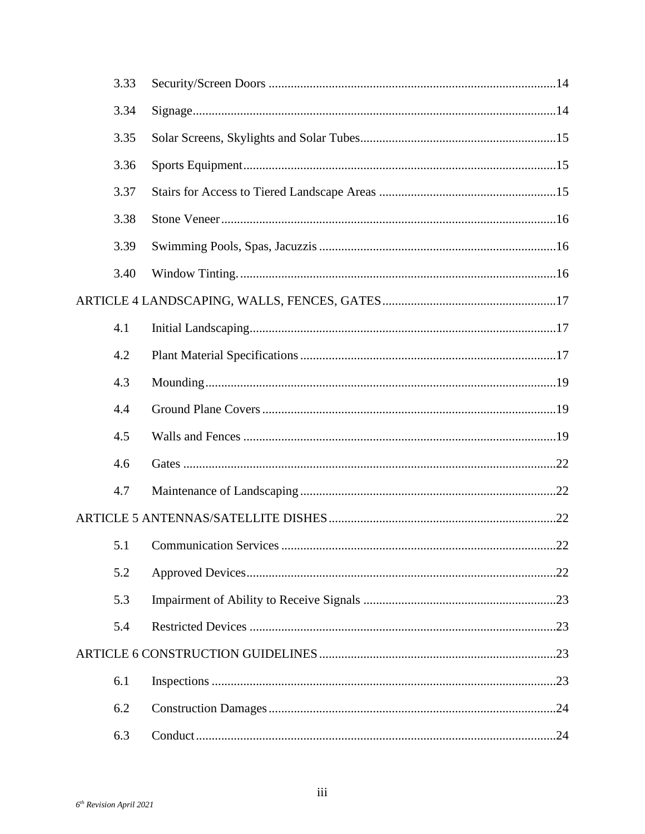| 3.33 |    |  |
|------|----|--|
| 3.34 |    |  |
| 3.35 |    |  |
| 3.36 |    |  |
| 3.37 |    |  |
| 3.38 |    |  |
| 3.39 |    |  |
| 3.40 |    |  |
|      |    |  |
| 4.1  |    |  |
| 4.2  |    |  |
| 4.3  |    |  |
| 4.4  |    |  |
| 4.5  |    |  |
| 4.6  |    |  |
| 4.7  |    |  |
|      |    |  |
|      | 22 |  |
| 5.2  |    |  |
| 5.3  |    |  |
| 5.4  |    |  |
|      |    |  |
| 6.1  |    |  |
| 6.2  |    |  |
| 6.3  |    |  |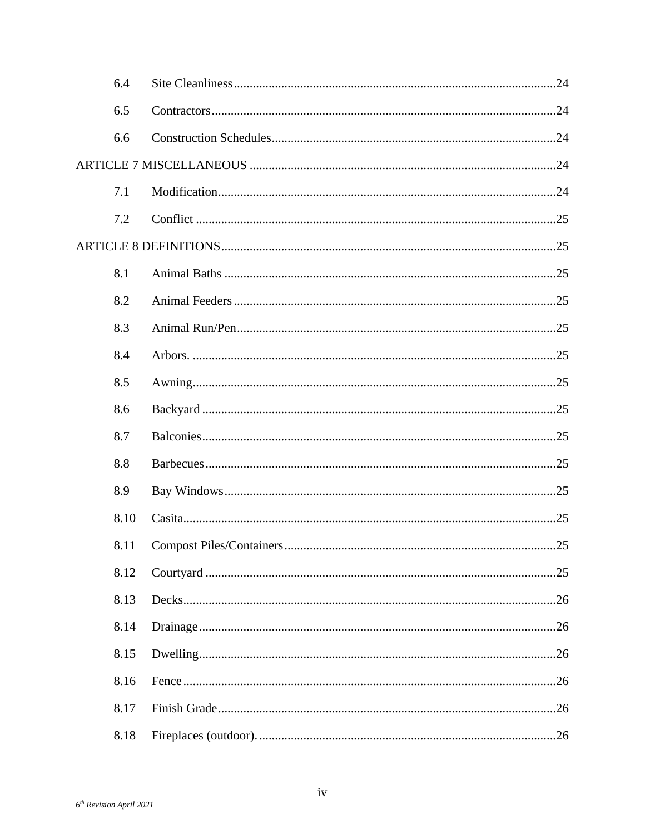| 6.4  |    |  |
|------|----|--|
| 6.5  |    |  |
| 6.6  |    |  |
|      |    |  |
| 7.1  |    |  |
| 7.2  |    |  |
|      |    |  |
| 8.1  |    |  |
| 8.2  |    |  |
| 8.3  |    |  |
| 8.4  |    |  |
| 8.5  |    |  |
| 8.6  |    |  |
| 8.7  |    |  |
| 8.8  |    |  |
| 8.9  |    |  |
| 8.10 |    |  |
|      | 25 |  |
| 8.12 |    |  |
| 8.13 |    |  |
| 8.14 |    |  |
| 8.15 |    |  |
| 8.16 |    |  |
| 8.17 |    |  |
| 8.18 |    |  |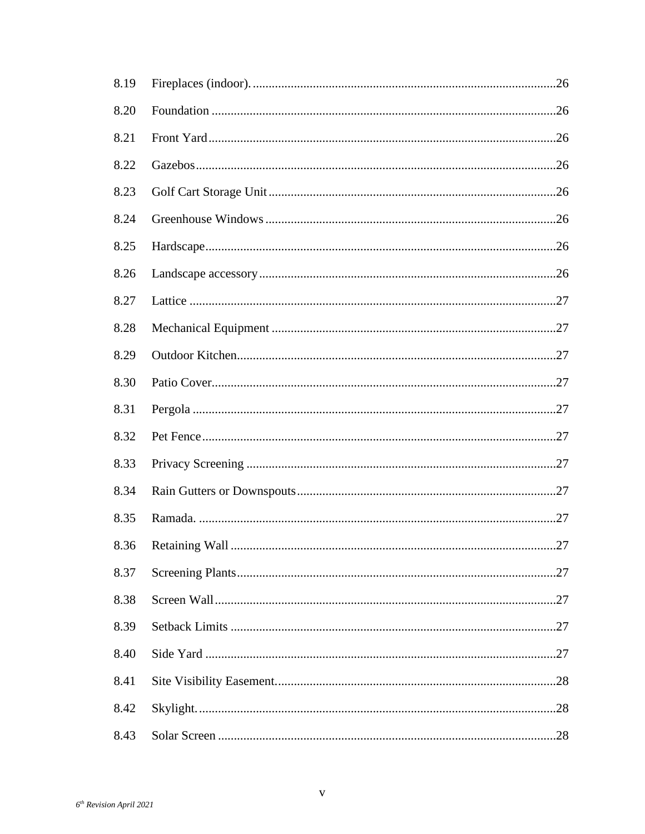| 8.19 |    |
|------|----|
| 8.20 |    |
| 8.21 |    |
| 8.22 |    |
| 8.23 |    |
| 8.24 |    |
| 8.25 |    |
| 8.26 |    |
| 8.27 |    |
| 8.28 |    |
| 8.29 |    |
| 8.30 |    |
| 8.31 |    |
| 8.32 |    |
| 8.33 |    |
| 8.34 |    |
| 8.35 |    |
| 8.36 | 27 |
| 8.37 |    |
| 8.38 |    |
| 8.39 |    |
| 8.40 |    |
| 8.41 |    |
| 8.42 |    |
| 8.43 |    |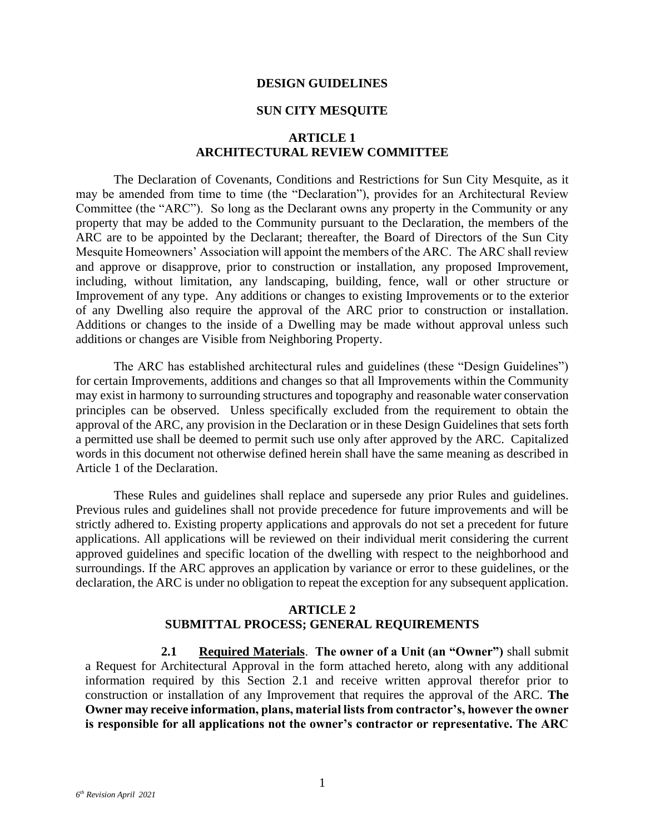#### **DESIGN GUIDELINES**

#### **SUN CITY MESQUITE**

#### **ARTICLE 1 ARCHITECTURAL REVIEW COMMITTEE**

<span id="page-7-0"></span>The Declaration of Covenants, Conditions and Restrictions for Sun City Mesquite, as it may be amended from time to time (the "Declaration"), provides for an Architectural Review Committee (the "ARC"). So long as the Declarant owns any property in the Community or any property that may be added to the Community pursuant to the Declaration, the members of the ARC are to be appointed by the Declarant; thereafter, the Board of Directors of the Sun City Mesquite Homeowners' Association will appoint the members of the ARC. The ARC shall review and approve or disapprove, prior to construction or installation, any proposed Improvement, including, without limitation, any landscaping, building, fence, wall or other structure or Improvement of any type. Any additions or changes to existing Improvements or to the exterior of any Dwelling also require the approval of the ARC prior to construction or installation. Additions or changes to the inside of a Dwelling may be made without approval unless such additions or changes are Visible from Neighboring Property.

The ARC has established architectural rules and guidelines (these "Design Guidelines") for certain Improvements, additions and changes so that all Improvements within the Community may exist in harmony to surrounding structures and topography and reasonable water conservation principles can be observed. Unless specifically excluded from the requirement to obtain the approval of the ARC, any provision in the Declaration or in these Design Guidelines that sets forth a permitted use shall be deemed to permit such use only after approved by the ARC. Capitalized words in this document not otherwise defined herein shall have the same meaning as described in Article 1 of the Declaration.

These Rules and guidelines shall replace and supersede any prior Rules and guidelines. Previous rules and guidelines shall not provide precedence for future improvements and will be strictly adhered to. Existing property applications and approvals do not set a precedent for future applications. All applications will be reviewed on their individual merit considering the current approved guidelines and specific location of the dwelling with respect to the neighborhood and surroundings. If the ARC approves an application by variance or error to these guidelines, or the declaration, the ARC is under no obligation to repeat the exception for any subsequent application.

#### **ARTICLE 2 SUBMITTAL PROCESS; GENERAL REQUIREMENTS**

<span id="page-7-2"></span><span id="page-7-1"></span>**2.1 Required Materials**. **The owner of a Unit (an "Owner")** shall submit a Request for Architectural Approval in the form attached hereto, along with any additional information required by this Section 2.1 and receive written approval therefor prior to construction or installation of any Improvement that requires the approval of the ARC. **The Owner may receive information, plans, material lists from contractor's, however the owner is responsible for all applications not the owner's contractor or representative. The ARC**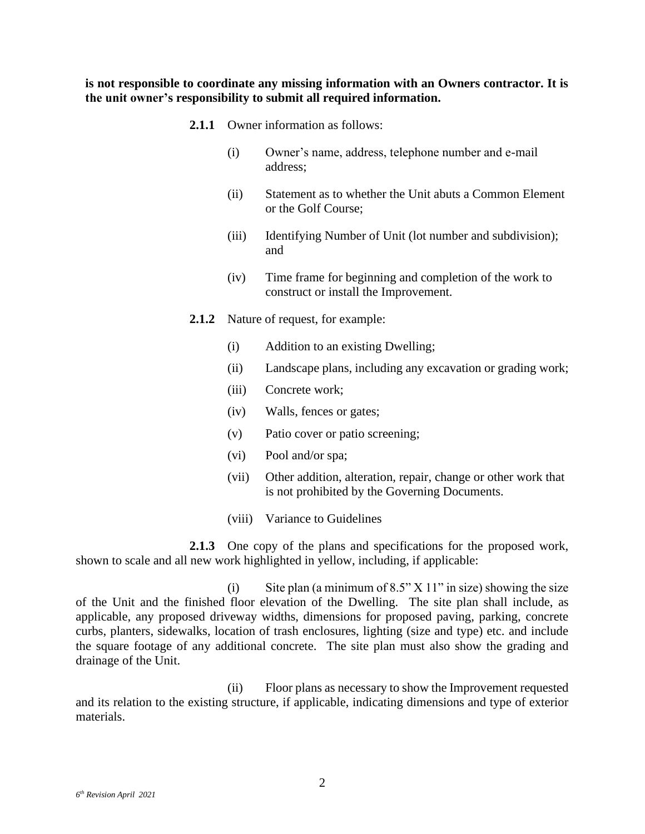**is not responsible to coordinate any missing information with an Owners contractor. It is the unit owner's responsibility to submit all required information.**

- **2.1.1** Owner information as follows:
	- (i) Owner's name, address, telephone number and e-mail address;
	- (ii) Statement as to whether the Unit abuts a Common Element or the Golf Course;
	- (iii) Identifying Number of Unit (lot number and subdivision); and
	- (iv) Time frame for beginning and completion of the work to construct or install the Improvement.
- **2.1.2** Nature of request, for example:
	- (i) Addition to an existing Dwelling;
	- (ii) Landscape plans, including any excavation or grading work;
	- (iii) Concrete work;
	- (iv) Walls, fences or gates;
	- (v) Patio cover or patio screening;
	- (vi) Pool and/or spa;
	- (vii) Other addition, alteration, repair, change or other work that is not prohibited by the Governing Documents.
	- (viii) Variance to Guidelines

**2.1.3** One copy of the plans and specifications for the proposed work, shown to scale and all new work highlighted in yellow, including, if applicable:

(i) Site plan (a minimum of  $8.5$ " X 11" in size) showing the size of the Unit and the finished floor elevation of the Dwelling. The site plan shall include, as applicable, any proposed driveway widths, dimensions for proposed paving, parking, concrete curbs, planters, sidewalks, location of trash enclosures, lighting (size and type) etc. and include the square footage of any additional concrete. The site plan must also show the grading and drainage of the Unit.

(ii) Floor plans as necessary to show the Improvement requested and its relation to the existing structure, if applicable, indicating dimensions and type of exterior materials.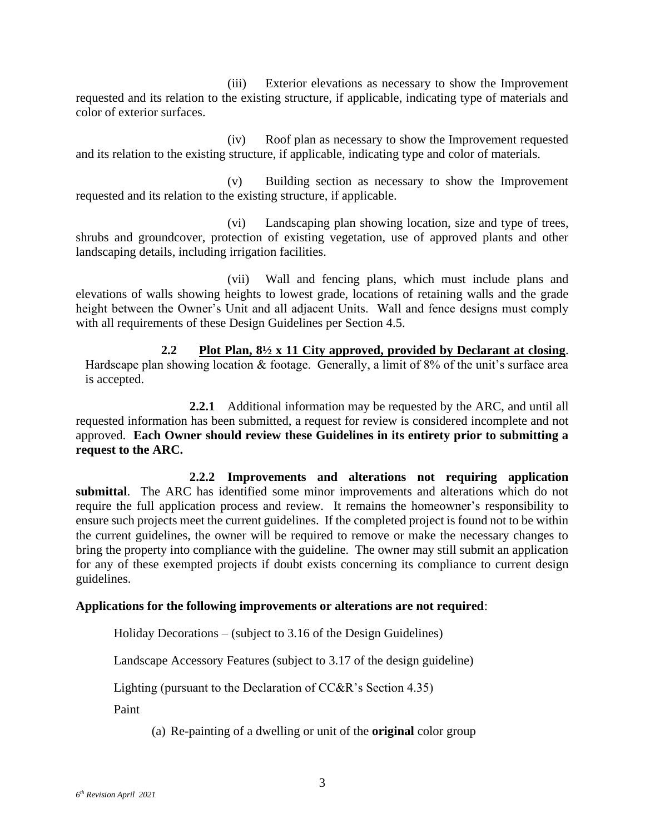(iii) Exterior elevations as necessary to show the Improvement requested and its relation to the existing structure, if applicable, indicating type of materials and color of exterior surfaces.

(iv) Roof plan as necessary to show the Improvement requested and its relation to the existing structure, if applicable, indicating type and color of materials.

(v) Building section as necessary to show the Improvement requested and its relation to the existing structure, if applicable.

(vi) Landscaping plan showing location, size and type of trees, shrubs and groundcover, protection of existing vegetation, use of approved plants and other landscaping details, including irrigation facilities.

(vii) Wall and fencing plans, which must include plans and elevations of walls showing heights to lowest grade, locations of retaining walls and the grade height between the Owner's Unit and all adjacent Units. Wall and fence designs must comply with all requirements of these Design Guidelines per Section 4.5.

<span id="page-9-0"></span>**2.2 Plot Plan, 8½ x 11 City approved, provided by Declarant at closing**. Hardscape plan showing location & footage. Generally, a limit of 8% of the unit's surface area is accepted.

**2.2.1** Additional information may be requested by the ARC, and until all requested information has been submitted, a request for review is considered incomplete and not approved. **Each Owner should review these Guidelines in its entirety prior to submitting a request to the ARC.** 

**2.2.2 Improvements and alterations not requiring application submittal**. The ARC has identified some minor improvements and alterations which do not require the full application process and review. It remains the homeowner's responsibility to ensure such projects meet the current guidelines. If the completed project is found not to be within the current guidelines, the owner will be required to remove or make the necessary changes to bring the property into compliance with the guideline. The owner may still submit an application for any of these exempted projects if doubt exists concerning its compliance to current design guidelines.

#### **Applications for the following improvements or alterations are not required**:

Holiday Decorations – (subject to 3.16 of the Design Guidelines)

Landscape Accessory Features (subject to 3.17 of the design guideline)

Lighting (pursuant to the Declaration of CC&R's Section 4.35)

Paint

(a) Re-painting of a dwelling or unit of the **original** color group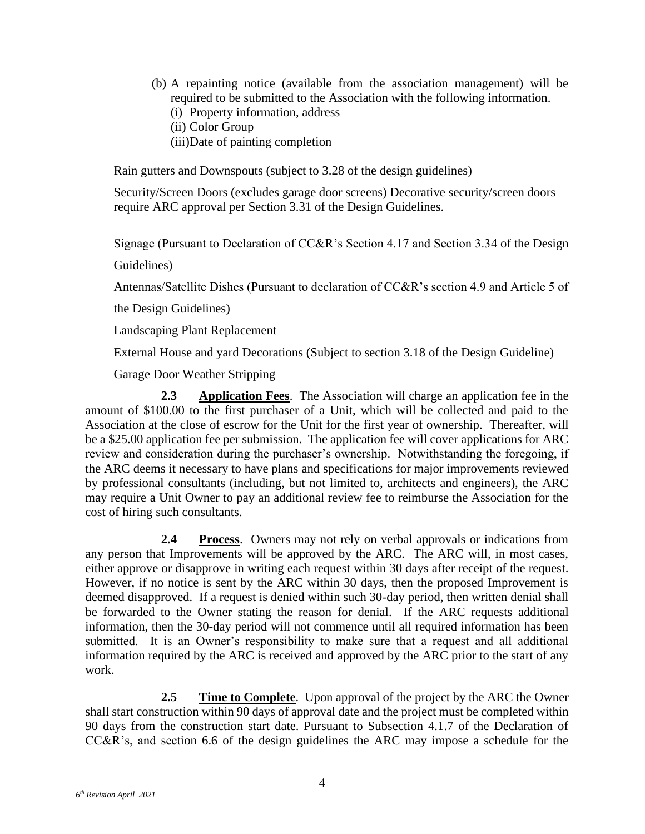- (b) A repainting notice (available from the association management) will be required to be submitted to the Association with the following information.
	- (i) Property information, address
	- (ii) Color Group
	- (iii)Date of painting completion

Rain gutters and Downspouts (subject to 3.28 of the design guidelines)

Security/Screen Doors (excludes garage door screens) Decorative security/screen doors require ARC approval per Section 3.31 of the Design Guidelines.

Signage (Pursuant to Declaration of CC&R's Section 4.17 and Section 3.34 of the Design

Guidelines)

Antennas/Satellite Dishes (Pursuant to declaration of CC&R's section 4.9 and Article 5 of

the Design Guidelines)

Landscaping Plant Replacement

External House and yard Decorations (Subject to section 3.18 of the Design Guideline)

Garage Door Weather Stripping

<span id="page-10-0"></span>**2.3 Application Fees**. The Association will charge an application fee in the amount of \$100.00 to the first purchaser of a Unit, which will be collected and paid to the Association at the close of escrow for the Unit for the first year of ownership. Thereafter, will be a \$25.00 application fee per submission. The application fee will cover applications for ARC review and consideration during the purchaser's ownership. Notwithstanding the foregoing, if the ARC deems it necessary to have plans and specifications for major improvements reviewed by professional consultants (including, but not limited to, architects and engineers), the ARC may require a Unit Owner to pay an additional review fee to reimburse the Association for the cost of hiring such consultants.

<span id="page-10-1"></span>**2.4 Process**. Owners may not rely on verbal approvals or indications from any person that Improvements will be approved by the ARC. The ARC will, in most cases, either approve or disapprove in writing each request within 30 days after receipt of the request. However, if no notice is sent by the ARC within 30 days, then the proposed Improvement is deemed disapproved. If a request is denied within such 30-day period, then written denial shall be forwarded to the Owner stating the reason for denial. If the ARC requests additional information, then the 30-day period will not commence until all required information has been submitted. It is an Owner's responsibility to make sure that a request and all additional information required by the ARC is received and approved by the ARC prior to the start of any work.

<span id="page-10-2"></span>**2.5 Time to Complete**. Upon approval of the project by the ARC the Owner shall start construction within 90 days of approval date and the project must be completed within 90 days from the construction start date. Pursuant to Subsection 4.1.7 of the Declaration of CC&R's, and section 6.6 of the design guidelines the ARC may impose a schedule for the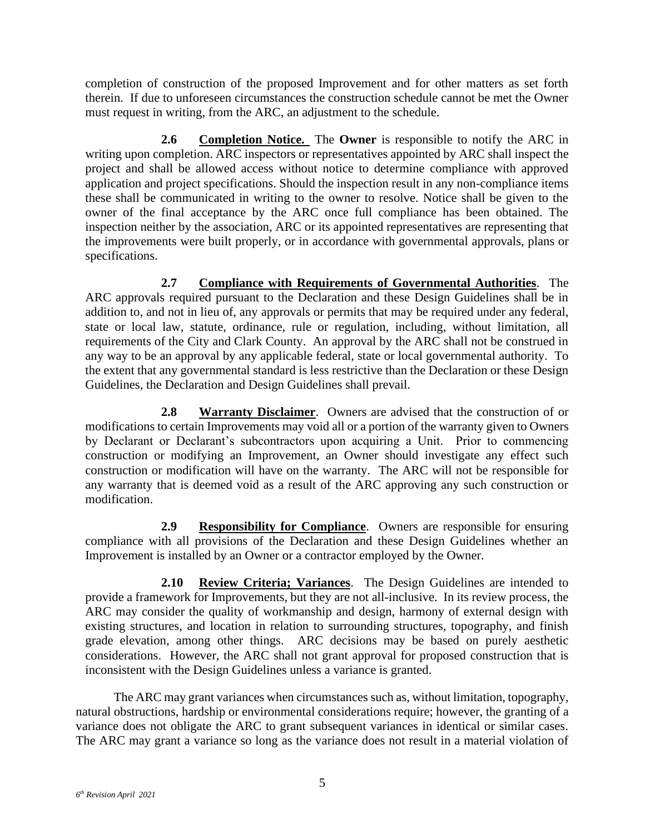completion of construction of the proposed Improvement and for other matters as set forth therein. If due to unforeseen circumstances the construction schedule cannot be met the Owner must request in writing, from the ARC, an adjustment to the schedule.

<span id="page-11-0"></span>**2.6 Completion Notice.** The **Owner** is responsible to notify the ARC in writing upon completion. ARC inspectors or representatives appointed by ARC shall inspect the project and shall be allowed access without notice to determine compliance with approved application and project specifications. Should the inspection result in any non-compliance items these shall be communicated in writing to the owner to resolve. Notice shall be given to the owner of the final acceptance by the ARC once full compliance has been obtained. The inspection neither by the association, ARC or its appointed representatives are representing that the improvements were built properly, or in accordance with governmental approvals, plans or specifications.

<span id="page-11-1"></span>**2.7 Compliance with Requirements of Governmental Authorities**. The ARC approvals required pursuant to the Declaration and these Design Guidelines shall be in addition to, and not in lieu of, any approvals or permits that may be required under any federal, state or local law, statute, ordinance, rule or regulation, including, without limitation, all requirements of the City and Clark County. An approval by the ARC shall not be construed in any way to be an approval by any applicable federal, state or local governmental authority. To the extent that any governmental standard is less restrictive than the Declaration or these Design Guidelines, the Declaration and Design Guidelines shall prevail.

<span id="page-11-2"></span>**2.8 Warranty Disclaimer**. Owners are advised that the construction of or modifications to certain Improvements may void all or a portion of the warranty given to Owners by Declarant or Declarant's subcontractors upon acquiring a Unit. Prior to commencing construction or modifying an Improvement, an Owner should investigate any effect such construction or modification will have on the warranty. The ARC will not be responsible for any warranty that is deemed void as a result of the ARC approving any such construction or modification.

<span id="page-11-3"></span>**2.9 Responsibility for Compliance**. Owners are responsible for ensuring compliance with all provisions of the Declaration and these Design Guidelines whether an Improvement is installed by an Owner or a contractor employed by the Owner.

<span id="page-11-4"></span>**2.10 Review Criteria; Variances**. The Design Guidelines are intended to provide a framework for Improvements, but they are not all-inclusive. In its review process, the ARC may consider the quality of workmanship and design, harmony of external design with existing structures, and location in relation to surrounding structures, topography, and finish grade elevation, among other things. ARC decisions may be based on purely aesthetic considerations. However, the ARC shall not grant approval for proposed construction that is inconsistent with the Design Guidelines unless a variance is granted.

The ARC may grant variances when circumstances such as, without limitation, topography, natural obstructions, hardship or environmental considerations require; however, the granting of a variance does not obligate the ARC to grant subsequent variances in identical or similar cases. The ARC may grant a variance so long as the variance does not result in a material violation of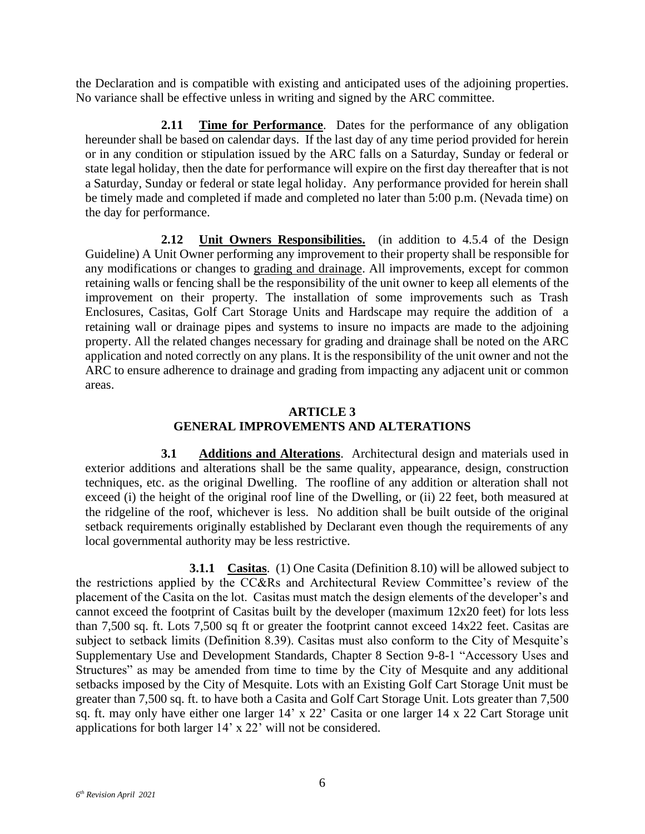the Declaration and is compatible with existing and anticipated uses of the adjoining properties. No variance shall be effective unless in writing and signed by the ARC committee.

<span id="page-12-0"></span>**2.11 Time for Performance**. Dates for the performance of any obligation hereunder shall be based on calendar days. If the last day of any time period provided for herein or in any condition or stipulation issued by the ARC falls on a Saturday, Sunday or federal or state legal holiday, then the date for performance will expire on the first day thereafter that is not a Saturday, Sunday or federal or state legal holiday. Any performance provided for herein shall be timely made and completed if made and completed no later than 5:00 p.m. (Nevada time) on the day for performance.

<span id="page-12-1"></span>**2.12 Unit Owners Responsibilities.** (in addition to 4.5.4 of the Design Guideline) A Unit Owner performing any improvement to their property shall be responsible for any modifications or changes to grading and drainage. All improvements, except for common retaining walls or fencing shall be the responsibility of the unit owner to keep all elements of the improvement on their property. The installation of some improvements such as Trash Enclosures, Casitas, Golf Cart Storage Units and Hardscape may require the addition of a retaining wall or drainage pipes and systems to insure no impacts are made to the adjoining property. All the related changes necessary for grading and drainage shall be noted on the ARC application and noted correctly on any plans. It is the responsibility of the unit owner and not the ARC to ensure adherence to drainage and grading from impacting any adjacent unit or common areas.

## **ARTICLE 3 GENERAL IMPROVEMENTS AND ALTERATIONS**

<span id="page-12-3"></span><span id="page-12-2"></span>**3.1 Additions and Alterations**. Architectural design and materials used in exterior additions and alterations shall be the same quality, appearance, design, construction techniques, etc. as the original Dwelling. The roofline of any addition or alteration shall not exceed (i) the height of the original roof line of the Dwelling, or (ii) 22 feet, both measured at the ridgeline of the roof, whichever is less. No addition shall be built outside of the original setback requirements originally established by Declarant even though the requirements of any local governmental authority may be less restrictive.

**3.1.1 Casitas**. (1) One Casita (Definition 8.10) will be allowed subject to the restrictions applied by the CC&Rs and Architectural Review Committee's review of the placement of the Casita on the lot. Casitas must match the design elements of the developer's and cannot exceed the footprint of Casitas built by the developer (maximum 12x20 feet) for lots less than 7,500 sq. ft. Lots 7,500 sq ft or greater the footprint cannot exceed 14x22 feet. Casitas are subject to setback limits (Definition 8.39). Casitas must also conform to the City of Mesquite's Supplementary Use and Development Standards, Chapter 8 Section 9-8-1 "Accessory Uses and Structures" as may be amended from time to time by the City of Mesquite and any additional setbacks imposed by the City of Mesquite. Lots with an Existing Golf Cart Storage Unit must be greater than 7,500 sq. ft. to have both a Casita and Golf Cart Storage Unit. Lots greater than 7,500 sq. ft. may only have either one larger 14' x 22' Casita or one larger 14 x 22 Cart Storage unit applications for both larger 14' x 22' will not be considered.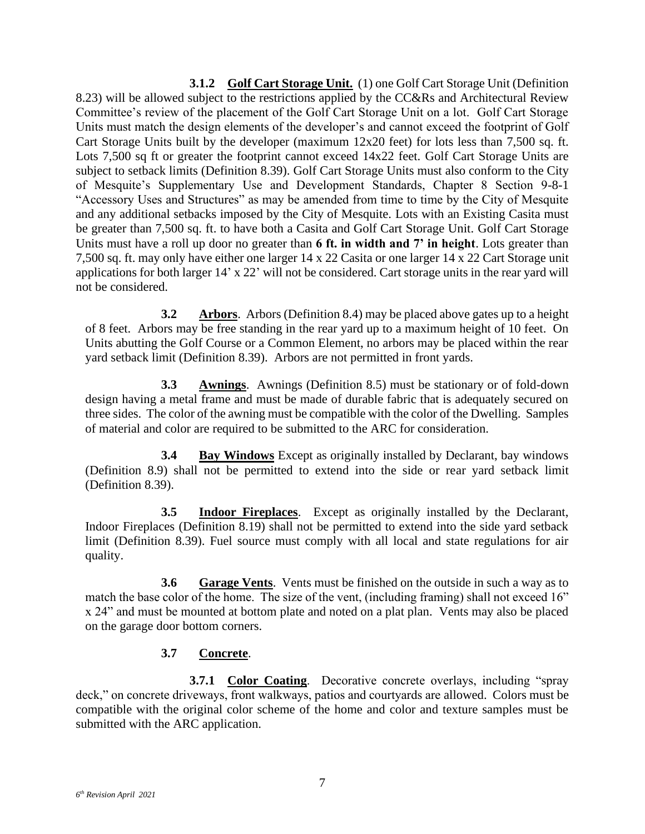**3.1.2 Golf Cart Storage Unit.** (1) one Golf Cart Storage Unit (Definition 8.23) will be allowed subject to the restrictions applied by the CC&Rs and Architectural Review Committee's review of the placement of the Golf Cart Storage Unit on a lot. Golf Cart Storage Units must match the design elements of the developer's and cannot exceed the footprint of Golf Cart Storage Units built by the developer (maximum 12x20 feet) for lots less than 7,500 sq. ft. Lots 7,500 sq ft or greater the footprint cannot exceed 14x22 feet. Golf Cart Storage Units are subject to setback limits (Definition 8.39). Golf Cart Storage Units must also conform to the City of Mesquite's Supplementary Use and Development Standards, Chapter 8 Section 9-8-1 "Accessory Uses and Structures" as may be amended from time to time by the City of Mesquite and any additional setbacks imposed by the City of Mesquite. Lots with an Existing Casita must be greater than 7,500 sq. ft. to have both a Casita and Golf Cart Storage Unit. Golf Cart Storage Units must have a roll up door no greater than **6 ft. in width and 7' in height**. Lots greater than 7,500 sq. ft. may only have either one larger 14 x 22 Casita or one larger 14 x 22 Cart Storage unit applications for both larger 14' x 22' will not be considered. Cart storage units in the rear yard will not be considered.

<span id="page-13-0"></span>**3.2 Arbors**. Arbors (Definition 8.4) may be placed above gates up to a height of 8 feet. Arbors may be free standing in the rear yard up to a maximum height of 10 feet. On Units abutting the Golf Course or a Common Element, no arbors may be placed within the rear yard setback limit (Definition 8.39). Arbors are not permitted in front yards.

<span id="page-13-1"></span>**3.3 Awnings**. Awnings (Definition 8.5) must be stationary or of fold-down design having a metal frame and must be made of durable fabric that is adequately secured on three sides. The color of the awning must be compatible with the color of the Dwelling. Samples of material and color are required to be submitted to the ARC for consideration.

<span id="page-13-2"></span>**3.4 Bay Windows** Except as originally installed by Declarant, bay windows (Definition 8.9) shall not be permitted to extend into the side or rear yard setback limit (Definition 8.39).

<span id="page-13-3"></span>**3.5 Indoor Fireplaces**. Except as originally installed by the Declarant, Indoor Fireplaces (Definition 8.19) shall not be permitted to extend into the side yard setback limit (Definition 8.39). Fuel source must comply with all local and state regulations for air quality.

<span id="page-13-4"></span>**3.6 Garage Vents**. Vents must be finished on the outside in such a way as to match the base color of the home. The size of the vent, (including framing) shall not exceed 16" x 24" and must be mounted at bottom plate and noted on a plat plan. Vents may also be placed on the garage door bottom corners.

#### **3.7 Concrete**.

<span id="page-13-5"></span>**3.7.1 Color Coating**. Decorative concrete overlays, including "spray deck," on concrete driveways, front walkways, patios and courtyards are allowed. Colors must be compatible with the original color scheme of the home and color and texture samples must be submitted with the ARC application.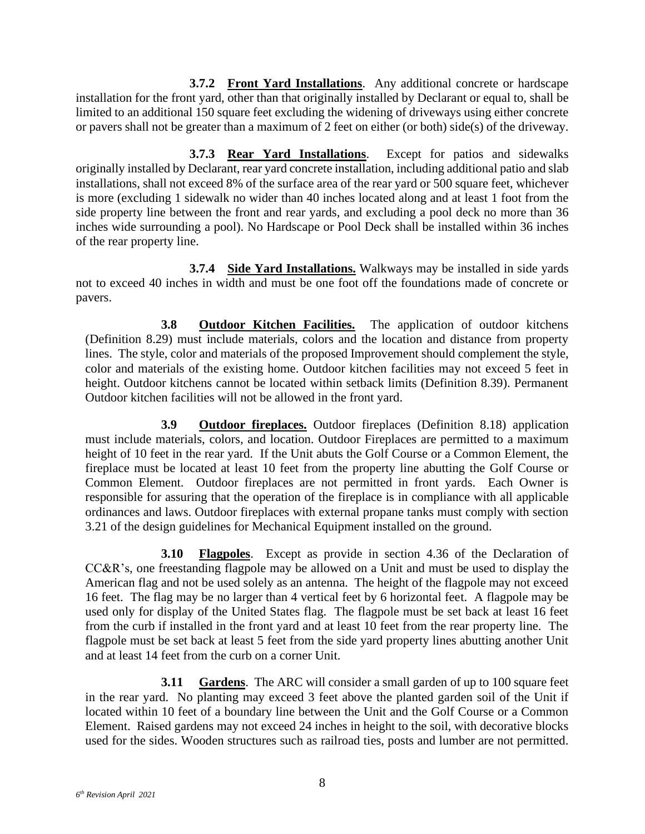**3.7.2 Front Yard Installations**. Any additional concrete or hardscape installation for the front yard, other than that originally installed by Declarant or equal to, shall be limited to an additional 150 square feet excluding the widening of driveways using either concrete or pavers shall not be greater than a maximum of 2 feet on either (or both) side(s) of the driveway.

**3.7.3 Rear Yard Installations**. Except for patios and sidewalks originally installed by Declarant, rear yard concrete installation, including additional patio and slab installations, shall not exceed 8% of the surface area of the rear yard or 500 square feet, whichever is more (excluding 1 sidewalk no wider than 40 inches located along and at least 1 foot from the side property line between the front and rear yards, and excluding a pool deck no more than 36 inches wide surrounding a pool). No Hardscape or Pool Deck shall be installed within 36 inches of the rear property line.

**3.7.4 Side Yard Installations.** Walkways may be installed in side yards not to exceed 40 inches in width and must be one foot off the foundations made of concrete or pavers.

<span id="page-14-0"></span>**3.8 Outdoor Kitchen Facilities.** The application of outdoor kitchens (Definition 8.29) must include materials, colors and the location and distance from property lines. The style, color and materials of the proposed Improvement should complement the style, color and materials of the existing home. Outdoor kitchen facilities may not exceed 5 feet in height. Outdoor kitchens cannot be located within setback limits (Definition 8.39). Permanent Outdoor kitchen facilities will not be allowed in the front yard.

<span id="page-14-1"></span>**3.9 Outdoor fireplaces.** Outdoor fireplaces (Definition 8.18) application must include materials, colors, and location. Outdoor Fireplaces are permitted to a maximum height of 10 feet in the rear yard. If the Unit abuts the Golf Course or a Common Element, the fireplace must be located at least 10 feet from the property line abutting the Golf Course or Common Element. Outdoor fireplaces are not permitted in front yards. Each Owner is responsible for assuring that the operation of the fireplace is in compliance with all applicable ordinances and laws. Outdoor fireplaces with external propane tanks must comply with section 3.21 of the design guidelines for Mechanical Equipment installed on the ground.

<span id="page-14-2"></span>**3.10 Flagpoles**. Except as provide in section 4.36 of the Declaration of CC&R's, one freestanding flagpole may be allowed on a Unit and must be used to display the American flag and not be used solely as an antenna. The height of the flagpole may not exceed 16 feet. The flag may be no larger than 4 vertical feet by 6 horizontal feet. A flagpole may be used only for display of the United States flag. The flagpole must be set back at least 16 feet from the curb if installed in the front yard and at least 10 feet from the rear property line. The flagpole must be set back at least 5 feet from the side yard property lines abutting another Unit and at least 14 feet from the curb on a corner Unit.

<span id="page-14-3"></span>**3.11 • Gardens**. The ARC will consider a small garden of up to 100 square feet in the rear yard. No planting may exceed 3 feet above the planted garden soil of the Unit if located within 10 feet of a boundary line between the Unit and the Golf Course or a Common Element. Raised gardens may not exceed 24 inches in height to the soil, with decorative blocks used for the sides. Wooden structures such as railroad ties, posts and lumber are not permitted.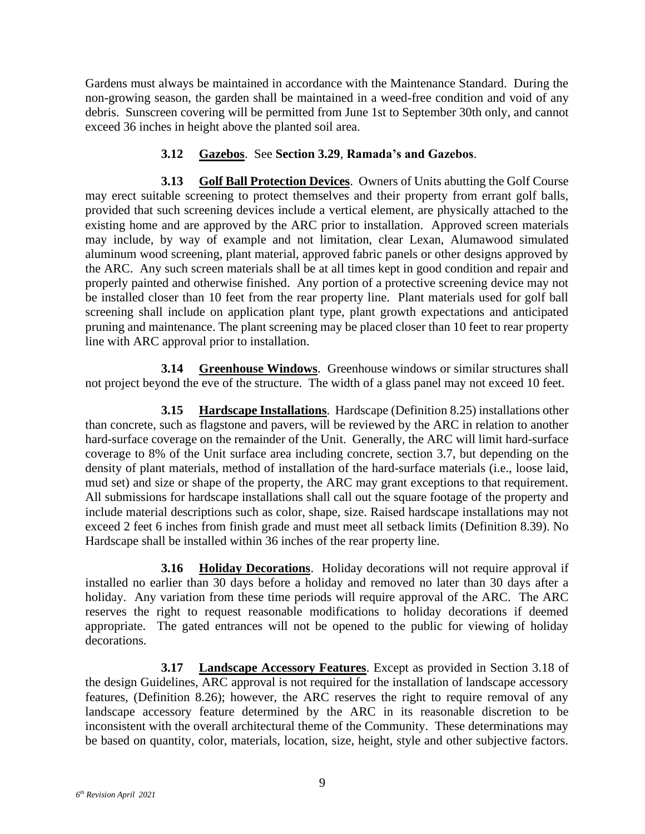Gardens must always be maintained in accordance with the Maintenance Standard. During the non-growing season, the garden shall be maintained in a weed-free condition and void of any debris. Sunscreen covering will be permitted from June 1st to September 30th only, and cannot exceed 36 inches in height above the planted soil area.

### **3.12 Gazebos**. See **Section 3.29**, **Ramada's and Gazebos**.

<span id="page-15-1"></span><span id="page-15-0"></span>**3.13 Golf Ball Protection Devices**. Owners of Units abutting the Golf Course may erect suitable screening to protect themselves and their property from errant golf balls, provided that such screening devices include a vertical element, are physically attached to the existing home and are approved by the ARC prior to installation. Approved screen materials may include, by way of example and not limitation, clear Lexan, Alumawood simulated aluminum wood screening, plant material, approved fabric panels or other designs approved by the ARC. Any such screen materials shall be at all times kept in good condition and repair and properly painted and otherwise finished. Any portion of a protective screening device may not be installed closer than 10 feet from the rear property line. Plant materials used for golf ball screening shall include on application plant type, plant growth expectations and anticipated pruning and maintenance. The plant screening may be placed closer than 10 feet to rear property line with ARC approval prior to installation.

<span id="page-15-2"></span>**3.14 Greenhouse Windows**. Greenhouse windows or similar structures shall not project beyond the eve of the structure. The width of a glass panel may not exceed 10 feet.

<span id="page-15-3"></span>**3.15 Hardscape Installations**. Hardscape (Definition 8.25) installations other than concrete, such as flagstone and pavers, will be reviewed by the ARC in relation to another hard-surface coverage on the remainder of the Unit. Generally, the ARC will limit hard-surface coverage to 8% of the Unit surface area including concrete, section 3.7, but depending on the density of plant materials, method of installation of the hard-surface materials (i.e., loose laid, mud set) and size or shape of the property, the ARC may grant exceptions to that requirement. All submissions for hardscape installations shall call out the square footage of the property and include material descriptions such as color, shape, size. Raised hardscape installations may not exceed 2 feet 6 inches from finish grade and must meet all setback limits (Definition 8.39). No Hardscape shall be installed within 36 inches of the rear property line.

<span id="page-15-4"></span>**3.16 Holiday Decorations**. Holiday decorations will not require approval if installed no earlier than 30 days before a holiday and removed no later than 30 days after a holiday. Any variation from these time periods will require approval of the ARC. The ARC reserves the right to request reasonable modifications to holiday decorations if deemed appropriate. The gated entrances will not be opened to the public for viewing of holiday decorations.

<span id="page-15-5"></span>**3.17 Landscape Accessory Features**. Except as provided in Section 3.18 of the design Guidelines, ARC approval is not required for the installation of landscape accessory features, (Definition 8.26); however, the ARC reserves the right to require removal of any landscape accessory feature determined by the ARC in its reasonable discretion to be inconsistent with the overall architectural theme of the Community. These determinations may be based on quantity, color, materials, location, size, height, style and other subjective factors.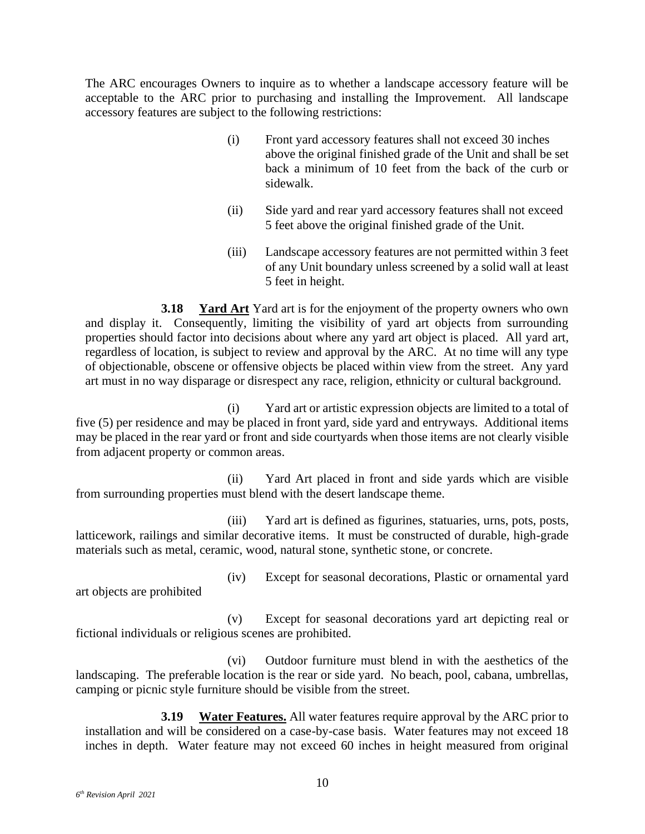The ARC encourages Owners to inquire as to whether a landscape accessory feature will be acceptable to the ARC prior to purchasing and installing the Improvement. All landscape accessory features are subject to the following restrictions:

- (i) Front yard accessory features shall not exceed 30 inches above the original finished grade of the Unit and shall be set back a minimum of 10 feet from the back of the curb or sidewalk.
- (ii) Side yard and rear yard accessory features shall not exceed 5 feet above the original finished grade of the Unit.
- (iii) Landscape accessory features are not permitted within 3 feet of any Unit boundary unless screened by a solid wall at least 5 feet in height.

<span id="page-16-0"></span>**3.18 Yard Art** Yard art is for the enjoyment of the property owners who own and display it. Consequently, limiting the visibility of yard art objects from surrounding properties should factor into decisions about where any yard art object is placed. All yard art, regardless of location, is subject to review and approval by the ARC. At no time will any type of objectionable, obscene or offensive objects be placed within view from the street. Any yard art must in no way disparage or disrespect any race, religion, ethnicity or cultural background.

(i) Yard art or artistic expression objects are limited to a total of five (5) per residence and may be placed in front yard, side yard and entryways. Additional items may be placed in the rear yard or front and side courtyards when those items are not clearly visible from adjacent property or common areas.

(ii) Yard Art placed in front and side yards which are visible from surrounding properties must blend with the desert landscape theme.

(iii) Yard art is defined as figurines, statuaries, urns, pots, posts, latticework, railings and similar decorative items. It must be constructed of durable, high-grade materials such as metal, ceramic, wood, natural stone, synthetic stone, or concrete.

art objects are prohibited

(iv) Except for seasonal decorations, Plastic or ornamental yard

(v) Except for seasonal decorations yard art depicting real or fictional individuals or religious scenes are prohibited.

(vi) Outdoor furniture must blend in with the aesthetics of the landscaping. The preferable location is the rear or side yard. No beach, pool, cabana, umbrellas, camping or picnic style furniture should be visible from the street.

<span id="page-16-1"></span>**3.19 Water Features.** All water features require approval by the ARC prior to installation and will be considered on a case-by-case basis. Water features may not exceed 18 inches in depth. Water feature may not exceed 60 inches in height measured from original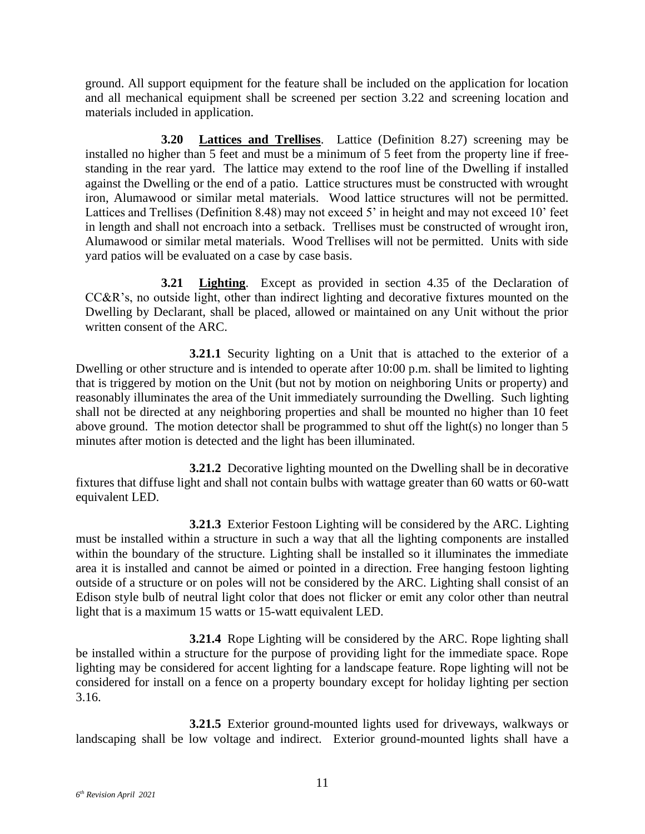ground. All support equipment for the feature shall be included on the application for location and all mechanical equipment shall be screened per section 3.22 and screening location and materials included in application.

<span id="page-17-0"></span>**3.20 Lattices and Trellises**. Lattice (Definition 8.27) screening may be installed no higher than 5 feet and must be a minimum of 5 feet from the property line if freestanding in the rear yard. The lattice may extend to the roof line of the Dwelling if installed against the Dwelling or the end of a patio. Lattice structures must be constructed with wrought iron, Alumawood or similar metal materials. Wood lattice structures will not be permitted. Lattices and Trellises (Definition 8.48) may not exceed 5' in height and may not exceed 10' feet in length and shall not encroach into a setback. Trellises must be constructed of wrought iron, Alumawood or similar metal materials. Wood Trellises will not be permitted. Units with side yard patios will be evaluated on a case by case basis.

<span id="page-17-1"></span>**3.21 Lighting**. Except as provided in section 4.35 of the Declaration of CC&R's, no outside light, other than indirect lighting and decorative fixtures mounted on the Dwelling by Declarant, shall be placed, allowed or maintained on any Unit without the prior written consent of the ARC.

**3.21.1** Security lighting on a Unit that is attached to the exterior of a Dwelling or other structure and is intended to operate after 10:00 p.m. shall be limited to lighting that is triggered by motion on the Unit (but not by motion on neighboring Units or property) and reasonably illuminates the area of the Unit immediately surrounding the Dwelling. Such lighting shall not be directed at any neighboring properties and shall be mounted no higher than 10 feet above ground. The motion detector shall be programmed to shut off the light(s) no longer than 5 minutes after motion is detected and the light has been illuminated.

**3.21.2** Decorative lighting mounted on the Dwelling shall be in decorative fixtures that diffuse light and shall not contain bulbs with wattage greater than 60 watts or 60-watt equivalent LED.

**3.21.3** Exterior Festoon Lighting will be considered by the ARC. Lighting must be installed within a structure in such a way that all the lighting components are installed within the boundary of the structure. Lighting shall be installed so it illuminates the immediate area it is installed and cannot be aimed or pointed in a direction. Free hanging festoon lighting outside of a structure or on poles will not be considered by the ARC. Lighting shall consist of an Edison style bulb of neutral light color that does not flicker or emit any color other than neutral light that is a maximum 15 watts or 15-watt equivalent LED.

**3.21.4** Rope Lighting will be considered by the ARC. Rope lighting shall be installed within a structure for the purpose of providing light for the immediate space. Rope lighting may be considered for accent lighting for a landscape feature. Rope lighting will not be considered for install on a fence on a property boundary except for holiday lighting per section 3.16.

**3.21.5** Exterior ground-mounted lights used for driveways, walkways or landscaping shall be low voltage and indirect. Exterior ground-mounted lights shall have a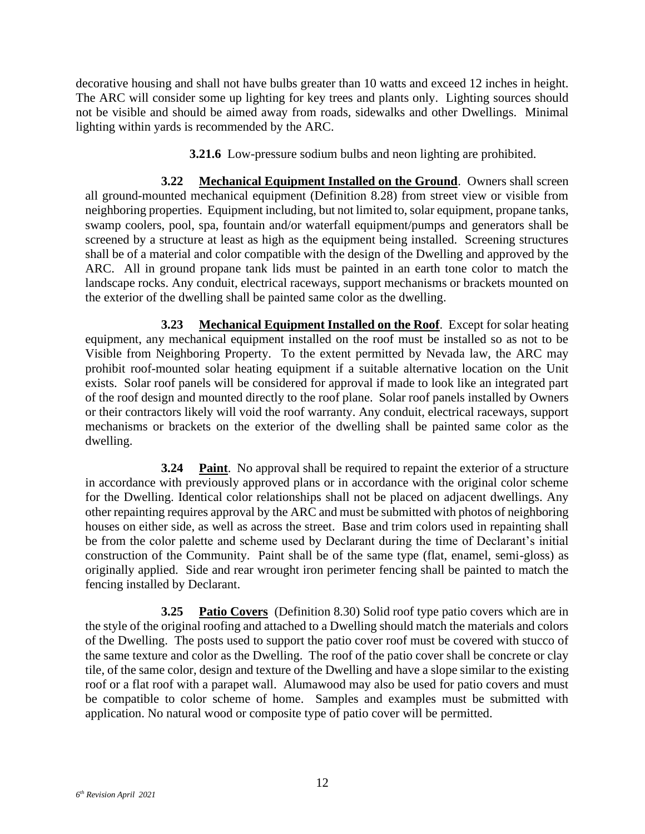decorative housing and shall not have bulbs greater than 10 watts and exceed 12 inches in height. The ARC will consider some up lighting for key trees and plants only. Lighting sources should not be visible and should be aimed away from roads, sidewalks and other Dwellings. Minimal lighting within yards is recommended by the ARC.

**3.21.6** Low-pressure sodium bulbs and neon lighting are prohibited.

<span id="page-18-0"></span>**3.22 Mechanical Equipment Installed on the Ground**. Owners shall screen all ground-mounted mechanical equipment (Definition 8.28) from street view or visible from neighboring properties. Equipment including, but not limited to, solar equipment, propane tanks, swamp coolers, pool, spa, fountain and/or waterfall equipment/pumps and generators shall be screened by a structure at least as high as the equipment being installed. Screening structures shall be of a material and color compatible with the design of the Dwelling and approved by the ARC. All in ground propane tank lids must be painted in an earth tone color to match the landscape rocks. Any conduit, electrical raceways, support mechanisms or brackets mounted on the exterior of the dwelling shall be painted same color as the dwelling.

<span id="page-18-1"></span>**3.23 Mechanical Equipment Installed on the Roof**. Except for solar heating equipment, any mechanical equipment installed on the roof must be installed so as not to be Visible from Neighboring Property. To the extent permitted by Nevada law, the ARC may prohibit roof-mounted solar heating equipment if a suitable alternative location on the Unit exists. Solar roof panels will be considered for approval if made to look like an integrated part of the roof design and mounted directly to the roof plane. Solar roof panels installed by Owners or their contractors likely will void the roof warranty. Any conduit, electrical raceways, support mechanisms or brackets on the exterior of the dwelling shall be painted same color as the dwelling.

<span id="page-18-2"></span>**3.24 Paint**. No approval shall be required to repaint the exterior of a structure in accordance with previously approved plans or in accordance with the original color scheme for the Dwelling. Identical color relationships shall not be placed on adjacent dwellings. Any other repainting requires approval by the ARC and must be submitted with photos of neighboring houses on either side, as well as across the street. Base and trim colors used in repainting shall be from the color palette and scheme used by Declarant during the time of Declarant's initial construction of the Community. Paint shall be of the same type (flat, enamel, semi-gloss) as originally applied. Side and rear wrought iron perimeter fencing shall be painted to match the fencing installed by Declarant.

<span id="page-18-3"></span>**3.25 Patio Covers** (Definition 8.30) Solid roof type patio covers which are in the style of the original roofing and attached to a Dwelling should match the materials and colors of the Dwelling. The posts used to support the patio cover roof must be covered with stucco of the same texture and color as the Dwelling. The roof of the patio cover shall be concrete or clay tile, of the same color, design and texture of the Dwelling and have a slope similar to the existing roof or a flat roof with a parapet wall. Alumawood may also be used for patio covers and must be compatible to color scheme of home. Samples and examples must be submitted with application. No natural wood or composite type of patio cover will be permitted.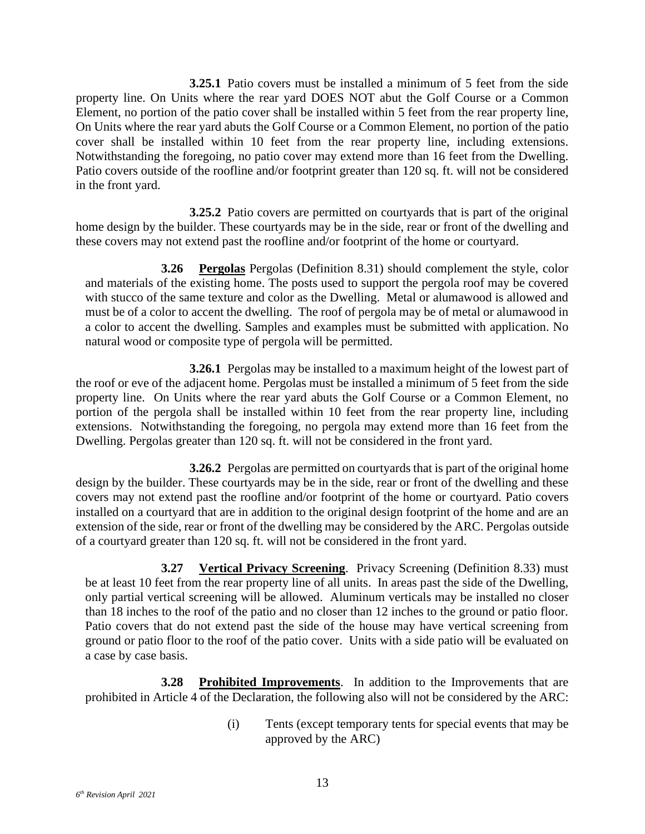**3.25.1** Patio covers must be installed a minimum of 5 feet from the side property line. On Units where the rear yard DOES NOT abut the Golf Course or a Common Element, no portion of the patio cover shall be installed within 5 feet from the rear property line, On Units where the rear yard abuts the Golf Course or a Common Element, no portion of the patio cover shall be installed within 10 feet from the rear property line, including extensions. Notwithstanding the foregoing, no patio cover may extend more than 16 feet from the Dwelling. Patio covers outside of the roofline and/or footprint greater than 120 sq. ft. will not be considered in the front yard.

**3.25.2** Patio covers are permitted on courtyards that is part of the original home design by the builder. These courtyards may be in the side, rear or front of the dwelling and these covers may not extend past the roofline and/or footprint of the home or courtyard.

<span id="page-19-0"></span>**3.26 Pergolas** Pergolas (Definition 8.31) should complement the style, color and materials of the existing home. The posts used to support the pergola roof may be covered with stucco of the same texture and color as the Dwelling. Metal or alumawood is allowed and must be of a color to accent the dwelling. The roof of pergola may be of metal or alumawood in a color to accent the dwelling. Samples and examples must be submitted with application. No natural wood or composite type of pergola will be permitted.

**3.26.1** Pergolas may be installed to a maximum height of the lowest part of the roof or eve of the adjacent home. Pergolas must be installed a minimum of 5 feet from the side property line. On Units where the rear yard abuts the Golf Course or a Common Element, no portion of the pergola shall be installed within 10 feet from the rear property line, including extensions. Notwithstanding the foregoing, no pergola may extend more than 16 feet from the Dwelling. Pergolas greater than 120 sq. ft. will not be considered in the front yard.

**3.26.2** Pergolas are permitted on courtyards that is part of the original home design by the builder. These courtyards may be in the side, rear or front of the dwelling and these covers may not extend past the roofline and/or footprint of the home or courtyard. Patio covers installed on a courtyard that are in addition to the original design footprint of the home and are an extension of the side, rear or front of the dwelling may be considered by the ARC. Pergolas outside of a courtyard greater than 120 sq. ft. will not be considered in the front yard.

<span id="page-19-1"></span>**3.27 Vertical Privacy Screening**. Privacy Screening (Definition 8.33) must be at least 10 feet from the rear property line of all units. In areas past the side of the Dwelling, only partial vertical screening will be allowed. Aluminum verticals may be installed no closer than 18 inches to the roof of the patio and no closer than 12 inches to the ground or patio floor. Patio covers that do not extend past the side of the house may have vertical screening from ground or patio floor to the roof of the patio cover. Units with a side patio will be evaluated on a case by case basis.

<span id="page-19-2"></span>**3.28 Prohibited Improvements**. In addition to the Improvements that are prohibited in Article 4 of the Declaration, the following also will not be considered by the ARC:

> (i) Tents (except temporary tents for special events that may be approved by the ARC)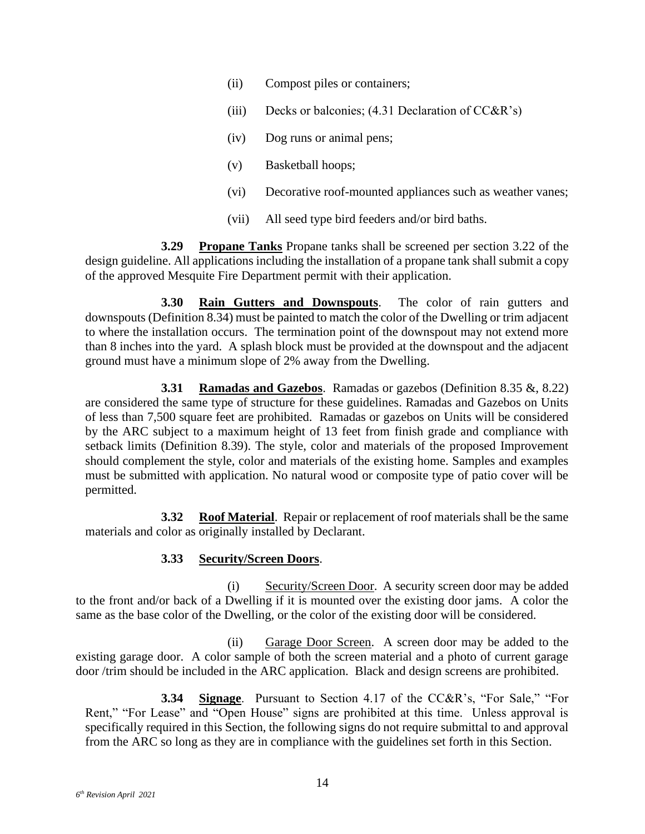- (ii) Compost piles or containers;
- (iii) Decks or balconies;  $(4.31$  Declaration of CC&R's)
- (iv) Dog runs or animal pens;
- (v) Basketball hoops;
- (vi) Decorative roof-mounted appliances such as weather vanes;
- (vii) All seed type bird feeders and/or bird baths.

<span id="page-20-0"></span>**3.29 Propane Tanks** Propane tanks shall be screened per section 3.22 of the design guideline. All applications including the installation of a propane tank shall submit a copy of the approved Mesquite Fire Department permit with their application.

<span id="page-20-1"></span>**3.30 Rain Gutters and Downspouts**. The color of rain gutters and downspouts (Definition 8.34) must be painted to match the color of the Dwelling or trim adjacent to where the installation occurs. The termination point of the downspout may not extend more than 8 inches into the yard. A splash block must be provided at the downspout and the adjacent ground must have a minimum slope of 2% away from the Dwelling.

<span id="page-20-2"></span>**3.31 Ramadas and Gazebos**. Ramadas or gazebos (Definition 8.35 &, 8.22) are considered the same type of structure for these guidelines. Ramadas and Gazebos on Units of less than 7,500 square feet are prohibited. Ramadas or gazebos on Units will be considered by the ARC subject to a maximum height of 13 feet from finish grade and compliance with setback limits (Definition 8.39). The style, color and materials of the proposed Improvement should complement the style, color and materials of the existing home. Samples and examples must be submitted with application. No natural wood or composite type of patio cover will be permitted.

<span id="page-20-3"></span>**3.32 Roof Material**. Repair or replacement of roof materials shall be the same materials and color as originally installed by Declarant.

#### **3.33 Security/Screen Doors**.

<span id="page-20-4"></span>(i) Security/Screen Door. A security screen door may be added to the front and/or back of a Dwelling if it is mounted over the existing door jams. A color the same as the base color of the Dwelling, or the color of the existing door will be considered.

(ii) Garage Door Screen. A screen door may be added to the existing garage door. A color sample of both the screen material and a photo of current garage door /trim should be included in the ARC application. Black and design screens are prohibited.

<span id="page-20-5"></span>**3.34 Signage**. Pursuant to Section 4.17 of the CC&R's, "For Sale," "For Rent," "For Lease" and "Open House" signs are prohibited at this time. Unless approval is specifically required in this Section, the following signs do not require submittal to and approval from the ARC so long as they are in compliance with the guidelines set forth in this Section.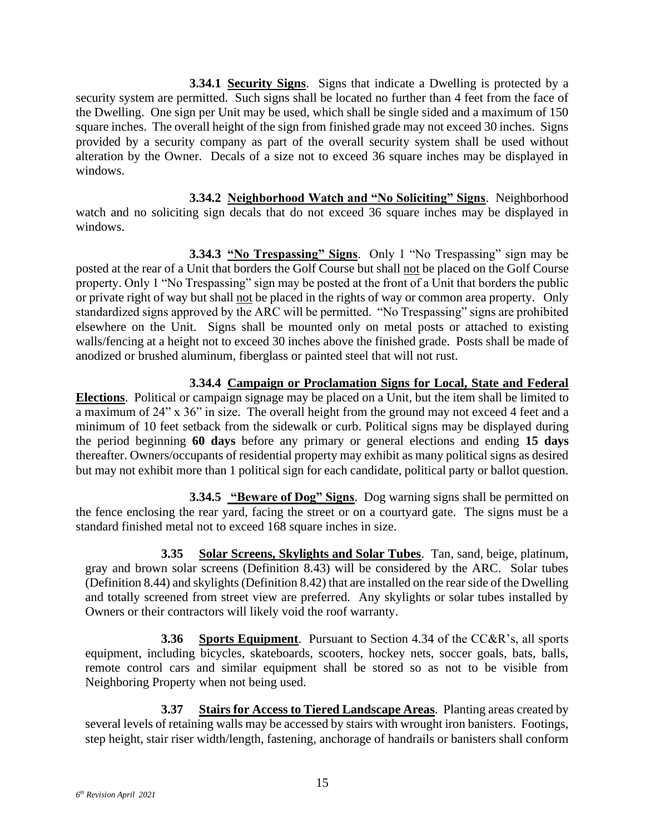**3.34.1 Security Signs**. Signs that indicate a Dwelling is protected by a security system are permitted. Such signs shall be located no further than 4 feet from the face of the Dwelling. One sign per Unit may be used, which shall be single sided and a maximum of 150 square inches. The overall height of the sign from finished grade may not exceed 30 inches. Signs provided by a security company as part of the overall security system shall be used without alteration by the Owner. Decals of a size not to exceed 36 square inches may be displayed in windows.

**3.34.2 Neighborhood Watch and "No Soliciting" Signs**. Neighborhood watch and no soliciting sign decals that do not exceed 36 square inches may be displayed in windows.

**3.34.3 "No Trespassing" Signs**. Only 1 "No Trespassing" sign may be posted at the rear of a Unit that borders the Golf Course but shall not be placed on the Golf Course property. Only 1 "No Trespassing" sign may be posted at the front of a Unit that borders the public or private right of way but shall not be placed in the rights of way or common area property. Only standardized signs approved by the ARC will be permitted. "No Trespassing" signs are prohibited elsewhere on the Unit. Signs shall be mounted only on metal posts or attached to existing walls/fencing at a height not to exceed 30 inches above the finished grade. Posts shall be made of anodized or brushed aluminum, fiberglass or painted steel that will not rust.

## **3.34.4 Campaign or Proclamation Signs for Local, State and Federal**

**Elections**. Political or campaign signage may be placed on a Unit, but the item shall be limited to a maximum of 24" x 36" in size. The overall height from the ground may not exceed 4 feet and a minimum of 10 feet setback from the sidewalk or curb. Political signs may be displayed during the period beginning **60 days** before any primary or general elections and ending **15 days** thereafter. Owners/occupants of residential property may exhibit as many political signs as desired but may not exhibit more than 1 political sign for each candidate, political party or ballot question.

**3.34.5 "Beware of Dog" Signs**. Dog warning signs shall be permitted on the fence enclosing the rear yard, facing the street or on a courtyard gate. The signs must be a standard finished metal not to exceed 168 square inches in size.

<span id="page-21-0"></span>**3.35 Solar Screens, Skylights and Solar Tubes**. Tan, sand, beige, platinum, gray and brown solar screens (Definition 8.43) will be considered by the ARC. Solar tubes (Definition 8.44) and skylights (Definition 8.42) that are installed on the rear side of the Dwelling and totally screened from street view are preferred. Any skylights or solar tubes installed by Owners or their contractors will likely void the roof warranty.

<span id="page-21-1"></span>**3.36 Sports Equipment**. Pursuant to Section 4.34 of the CC&R's, all sports equipment, including bicycles, skateboards, scooters, hockey nets, soccer goals, bats, balls, remote control cars and similar equipment shall be stored so as not to be visible from Neighboring Property when not being used.

<span id="page-21-2"></span>**3.37 Stairs for Access to Tiered Landscape Areas**. Planting areas created by several levels of retaining walls may be accessed by stairs with wrought iron banisters. Footings, step height, stair riser width/length, fastening, anchorage of handrails or banisters shall conform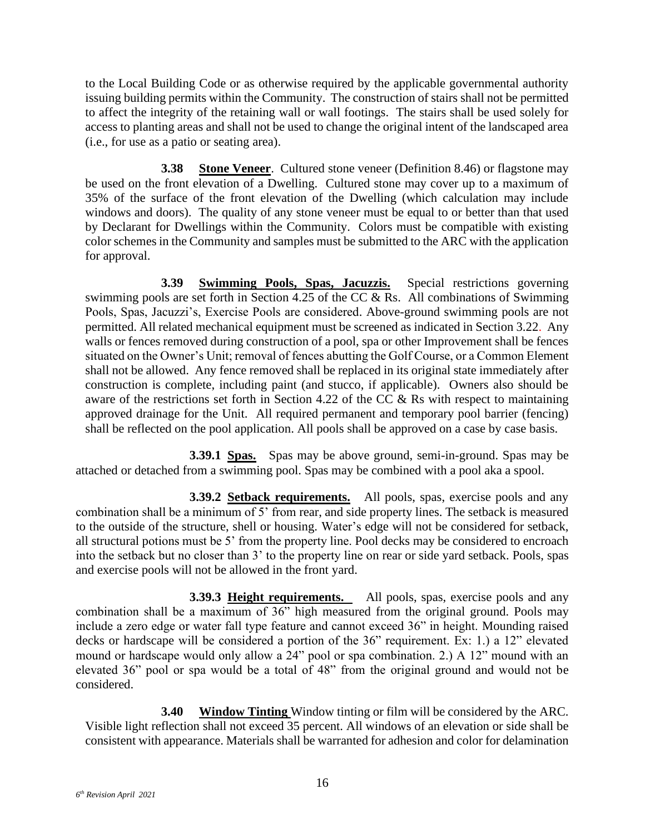to the Local Building Code or as otherwise required by the applicable governmental authority issuing building permits within the Community. The construction of stairs shall not be permitted to affect the integrity of the retaining wall or wall footings. The stairs shall be used solely for access to planting areas and shall not be used to change the original intent of the landscaped area (i.e., for use as a patio or seating area).

<span id="page-22-0"></span>**3.38 Stone Veneer**. Cultured stone veneer (Definition 8.46) or flagstone may be used on the front elevation of a Dwelling. Cultured stone may cover up to a maximum of 35% of the surface of the front elevation of the Dwelling (which calculation may include windows and doors). The quality of any stone veneer must be equal to or better than that used by Declarant for Dwellings within the Community. Colors must be compatible with existing color schemes in the Community and samples must be submitted to the ARC with the application for approval.

<span id="page-22-1"></span>**3.39 Swimming Pools, Spas, Jacuzzis.** Special restrictions governing swimming pools are set forth in Section 4.25 of the CC & Rs. All combinations of Swimming Pools, Spas, Jacuzzi's, Exercise Pools are considered. Above-ground swimming pools are not permitted. All related mechanical equipment must be screened as indicated in Section 3.22. Any walls or fences removed during construction of a pool, spa or other Improvement shall be fences situated on the Owner's Unit; removal of fences abutting the Golf Course, or a Common Element shall not be allowed. Any fence removed shall be replaced in its original state immediately after construction is complete, including paint (and stucco, if applicable). Owners also should be aware of the restrictions set forth in Section 4.22 of the CC & Rs with respect to maintaining approved drainage for the Unit. All required permanent and temporary pool barrier (fencing) shall be reflected on the pool application. All pools shall be approved on a case by case basis.

**3.39.1 Spas.** Spas may be above ground, semi-in-ground. Spas may be attached or detached from a swimming pool. Spas may be combined with a pool aka a spool.

**3.39.2 Setback requirements.** All pools, spas, exercise pools and any combination shall be a minimum of 5' from rear, and side property lines. The setback is measured to the outside of the structure, shell or housing. Water's edge will not be considered for setback, all structural potions must be 5' from the property line. Pool decks may be considered to encroach into the setback but no closer than 3' to the property line on rear or side yard setback. Pools, spas and exercise pools will not be allowed in the front yard.

**3.39.3 Height requirements.** All pools, spas, exercise pools and any combination shall be a maximum of 36" high measured from the original ground. Pools may include a zero edge or water fall type feature and cannot exceed 36" in height. Mounding raised decks or hardscape will be considered a portion of the 36" requirement. Ex: 1.) a 12" elevated mound or hardscape would only allow a 24" pool or spa combination. 2.) A 12" mound with an elevated 36" pool or spa would be a total of 48" from the original ground and would not be considered.

<span id="page-22-2"></span>**3.40 Window Tinting** Window tinting or film will be considered by the ARC. Visible light reflection shall not exceed 35 percent. All windows of an elevation or side shall be consistent with appearance. Materials shall be warranted for adhesion and color for delamination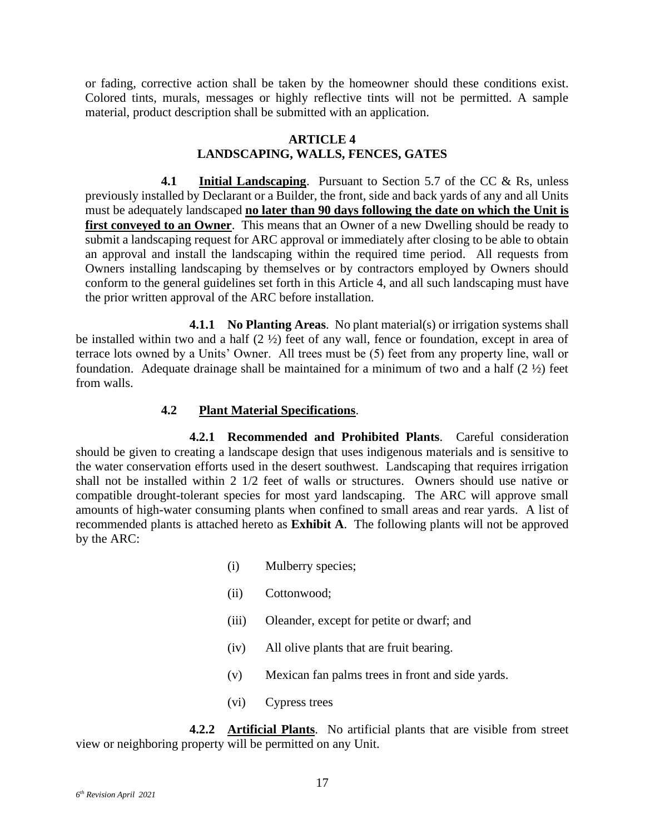or fading, corrective action shall be taken by the homeowner should these conditions exist. Colored tints, murals, messages or highly reflective tints will not be permitted. A sample material, product description shall be submitted with an application.

#### **ARTICLE 4 LANDSCAPING, WALLS, FENCES, GATES**

<span id="page-23-1"></span><span id="page-23-0"></span>**4.1 Initial Landscaping**. Pursuant to Section 5.7 of the CC & Rs, unless previously installed by Declarant or a Builder, the front, side and back yards of any and all Units must be adequately landscaped **no later than 90 days following the date on which the Unit is first conveyed to an Owner**. This means that an Owner of a new Dwelling should be ready to submit a landscaping request for ARC approval or immediately after closing to be able to obtain an approval and install the landscaping within the required time period. All requests from Owners installing landscaping by themselves or by contractors employed by Owners should conform to the general guidelines set forth in this Article 4, and all such landscaping must have the prior written approval of the ARC before installation.

**4.1.1 No Planting Areas**. No plant material(s) or irrigation systems shall be installed within two and a half  $(2 \frac{1}{2})$  feet of any wall, fence or foundation, except in area of terrace lots owned by a Units' Owner. All trees must be (5) feet from any property line, wall or foundation. Adequate drainage shall be maintained for a minimum of two and a half  $(2 \frac{1}{2})$  feet from walls.

#### **4.2 Plant Material Specifications**.

<span id="page-23-2"></span>**4.2.1 Recommended and Prohibited Plants**. Careful consideration should be given to creating a landscape design that uses indigenous materials and is sensitive to the water conservation efforts used in the desert southwest. Landscaping that requires irrigation shall not be installed within 2 1/2 feet of walls or structures. Owners should use native or compatible drought-tolerant species for most yard landscaping. The ARC will approve small amounts of high-water consuming plants when confined to small areas and rear yards. A list of recommended plants is attached hereto as **Exhibit A**. The following plants will not be approved by the ARC:

- (i) Mulberry species;
- (ii) Cottonwood;
- (iii) Oleander, except for petite or dwarf; and
- (iv) All olive plants that are fruit bearing.
- (v) Mexican fan palms trees in front and side yards.
- (vi) Cypress trees

**4.2.2 Artificial Plants**. No artificial plants that are visible from street view or neighboring property will be permitted on any Unit.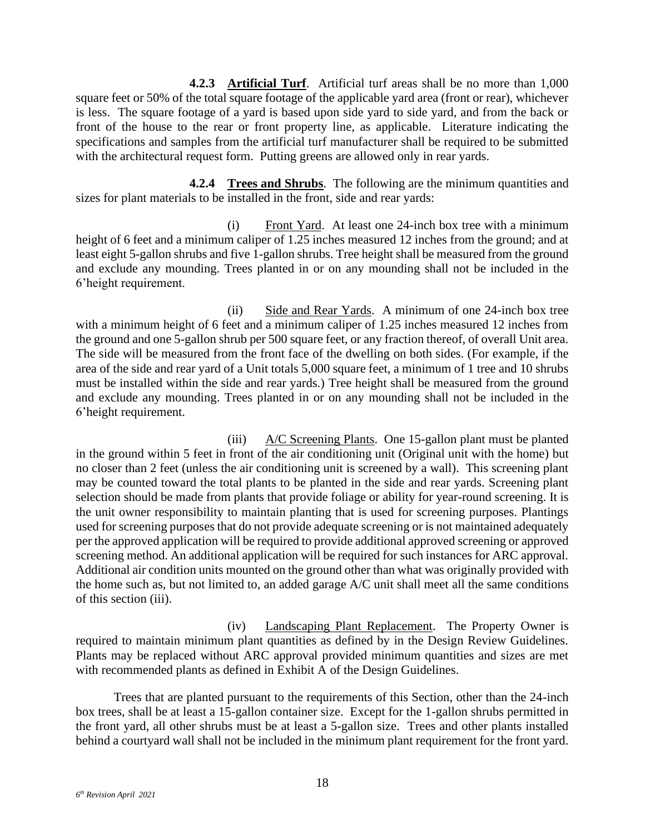**4.2.3 Artificial Turf**. Artificial turf areas shall be no more than 1,000 square feet or 50% of the total square footage of the applicable yard area (front or rear), whichever is less. The square footage of a yard is based upon side yard to side yard, and from the back or front of the house to the rear or front property line, as applicable. Literature indicating the specifications and samples from the artificial turf manufacturer shall be required to be submitted with the architectural request form. Putting greens are allowed only in rear yards.

**4.2.4 Trees and Shrubs**. The following are the minimum quantities and sizes for plant materials to be installed in the front, side and rear yards:

(i) Front Yard. At least one 24-inch box tree with a minimum height of 6 feet and a minimum caliper of 1.25 inches measured 12 inches from the ground; and at least eight 5-gallon shrubs and five 1-gallon shrubs. Tree height shall be measured from the ground and exclude any mounding. Trees planted in or on any mounding shall not be included in the 6'height requirement.

(ii) Side and Rear Yards. A minimum of one 24-inch box tree with a minimum height of 6 feet and a minimum caliper of 1.25 inches measured 12 inches from the ground and one 5-gallon shrub per 500 square feet, or any fraction thereof, of overall Unit area. The side will be measured from the front face of the dwelling on both sides. (For example, if the area of the side and rear yard of a Unit totals 5,000 square feet, a minimum of 1 tree and 10 shrubs must be installed within the side and rear yards.) Tree height shall be measured from the ground and exclude any mounding. Trees planted in or on any mounding shall not be included in the 6'height requirement.

(iii) A/C Screening Plants. One 15-gallon plant must be planted in the ground within 5 feet in front of the air conditioning unit (Original unit with the home) but no closer than 2 feet (unless the air conditioning unit is screened by a wall). This screening plant may be counted toward the total plants to be planted in the side and rear yards. Screening plant selection should be made from plants that provide foliage or ability for year-round screening. It is the unit owner responsibility to maintain planting that is used for screening purposes. Plantings used for screening purposes that do not provide adequate screening or is not maintained adequately per the approved application will be required to provide additional approved screening or approved screening method. An additional application will be required for such instances for ARC approval. Additional air condition units mounted on the ground other than what was originally provided with the home such as, but not limited to, an added garage A/C unit shall meet all the same conditions of this section (iii).

(iv) Landscaping Plant Replacement. The Property Owner is required to maintain minimum plant quantities as defined by in the Design Review Guidelines. Plants may be replaced without ARC approval provided minimum quantities and sizes are met with recommended plants as defined in Exhibit A of the Design Guidelines.

Trees that are planted pursuant to the requirements of this Section, other than the 24-inch box trees, shall be at least a 15-gallon container size. Except for the 1-gallon shrubs permitted in the front yard, all other shrubs must be at least a 5-gallon size. Trees and other plants installed behind a courtyard wall shall not be included in the minimum plant requirement for the front yard.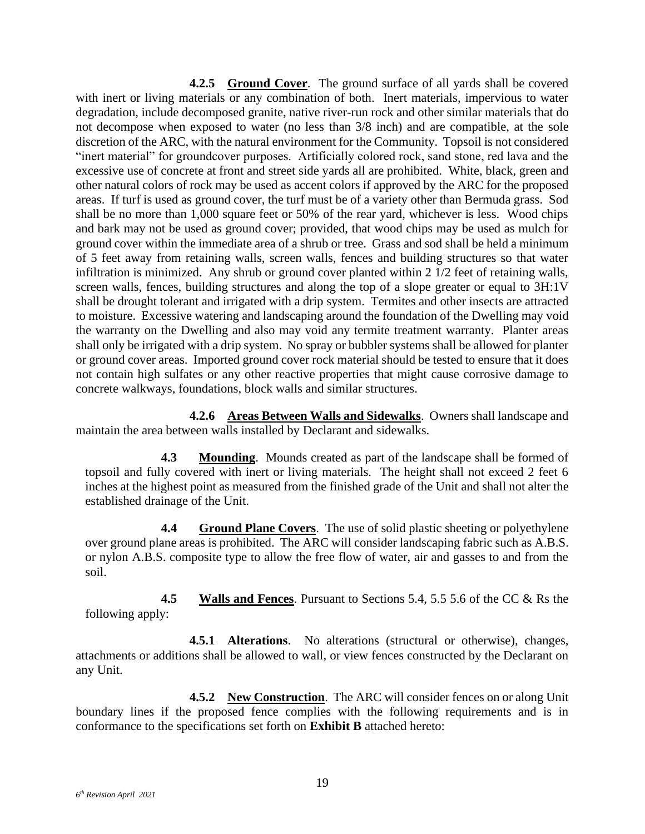**4.2.5 Ground Cover**. The ground surface of all yards shall be covered with inert or living materials or any combination of both. Inert materials, impervious to water degradation, include decomposed granite, native river-run rock and other similar materials that do not decompose when exposed to water (no less than 3/8 inch) and are compatible, at the sole discretion of the ARC, with the natural environment for the Community. Topsoil is not considered "inert material" for groundcover purposes. Artificially colored rock, sand stone, red lava and the excessive use of concrete at front and street side yards all are prohibited. White, black, green and other natural colors of rock may be used as accent colors if approved by the ARC for the proposed areas. If turf is used as ground cover, the turf must be of a variety other than Bermuda grass. Sod shall be no more than 1,000 square feet or 50% of the rear yard, whichever is less. Wood chips and bark may not be used as ground cover; provided, that wood chips may be used as mulch for ground cover within the immediate area of a shrub or tree. Grass and sod shall be held a minimum of 5 feet away from retaining walls, screen walls, fences and building structures so that water infiltration is minimized. Any shrub or ground cover planted within 2 1/2 feet of retaining walls, screen walls, fences, building structures and along the top of a slope greater or equal to 3H:1V shall be drought tolerant and irrigated with a drip system. Termites and other insects are attracted to moisture. Excessive watering and landscaping around the foundation of the Dwelling may void the warranty on the Dwelling and also may void any termite treatment warranty. Planter areas shall only be irrigated with a drip system. No spray or bubbler systems shall be allowed for planter or ground cover areas. Imported ground cover rock material should be tested to ensure that it does not contain high sulfates or any other reactive properties that might cause corrosive damage to concrete walkways, foundations, block walls and similar structures.

**4.2.6 Areas Between Walls and Sidewalks**. Owners shall landscape and maintain the area between walls installed by Declarant and sidewalks.

<span id="page-25-0"></span>**4.3 Mounding**. Mounds created as part of the landscape shall be formed of topsoil and fully covered with inert or living materials. The height shall not exceed 2 feet 6 inches at the highest point as measured from the finished grade of the Unit and shall not alter the established drainage of the Unit.

<span id="page-25-1"></span>**4.4 Ground Plane Covers**. The use of solid plastic sheeting or polyethylene over ground plane areas is prohibited. The ARC will consider landscaping fabric such as A.B.S. or nylon A.B.S. composite type to allow the free flow of water, air and gasses to and from the soil.

<span id="page-25-2"></span>**4.5 Walls and Fences**. Pursuant to Sections 5.4, 5.5 5.6 of the CC & Rs the following apply:

**4.5.1 Alterations**. No alterations (structural or otherwise), changes, attachments or additions shall be allowed to wall, or view fences constructed by the Declarant on any Unit.

**4.5.2 New Construction**. The ARC will consider fences on or along Unit boundary lines if the proposed fence complies with the following requirements and is in conformance to the specifications set forth on **Exhibit B** attached hereto: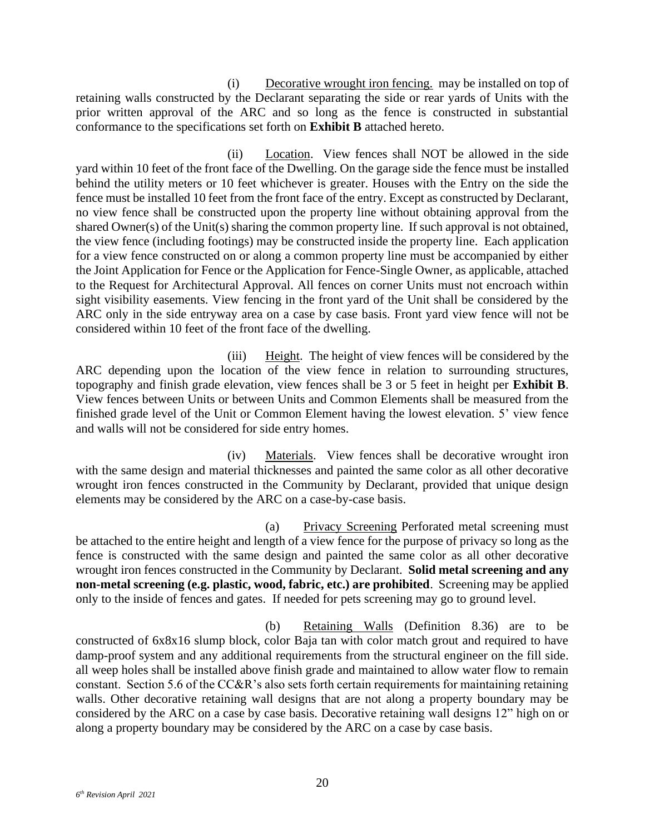(i) Decorative wrought iron fencing. may be installed on top of retaining walls constructed by the Declarant separating the side or rear yards of Units with the prior written approval of the ARC and so long as the fence is constructed in substantial conformance to the specifications set forth on **Exhibit B** attached hereto.

(ii) Location. View fences shall NOT be allowed in the side yard within 10 feet of the front face of the Dwelling. On the garage side the fence must be installed behind the utility meters or 10 feet whichever is greater. Houses with the Entry on the side the fence must be installed 10 feet from the front face of the entry. Except as constructed by Declarant, no view fence shall be constructed upon the property line without obtaining approval from the shared Owner(s) of the Unit(s) sharing the common property line. If such approval is not obtained, the view fence (including footings) may be constructed inside the property line. Each application for a view fence constructed on or along a common property line must be accompanied by either the Joint Application for Fence or the Application for Fence-Single Owner, as applicable, attached to the Request for Architectural Approval. All fences on corner Units must not encroach within sight visibility easements. View fencing in the front yard of the Unit shall be considered by the ARC only in the side entryway area on a case by case basis. Front yard view fence will not be considered within 10 feet of the front face of the dwelling.

(iii) Height. The height of view fences will be considered by the ARC depending upon the location of the view fence in relation to surrounding structures, topography and finish grade elevation, view fences shall be 3 or 5 feet in height per **Exhibit B**. View fences between Units or between Units and Common Elements shall be measured from the finished grade level of the Unit or Common Element having the lowest elevation. 5' view fence and walls will not be considered for side entry homes.

(iv) Materials. View fences shall be decorative wrought iron with the same design and material thicknesses and painted the same color as all other decorative wrought iron fences constructed in the Community by Declarant, provided that unique design elements may be considered by the ARC on a case-by-case basis.

(a) Privacy Screening Perforated metal screening must be attached to the entire height and length of a view fence for the purpose of privacy so long as the fence is constructed with the same design and painted the same color as all other decorative wrought iron fences constructed in the Community by Declarant. **Solid metal screening and any non-metal screening (e.g. plastic, wood, fabric, etc.) are prohibited**. Screening may be applied only to the inside of fences and gates. If needed for pets screening may go to ground level.

(b) Retaining Walls (Definition 8.36) are to be constructed of 6x8x16 slump block, color Baja tan with color match grout and required to have damp-proof system and any additional requirements from the structural engineer on the fill side. all weep holes shall be installed above finish grade and maintained to allow water flow to remain constant. Section 5.6 of the CC&R's also sets forth certain requirements for maintaining retaining walls. Other decorative retaining wall designs that are not along a property boundary may be considered by the ARC on a case by case basis. Decorative retaining wall designs 12" high on or along a property boundary may be considered by the ARC on a case by case basis.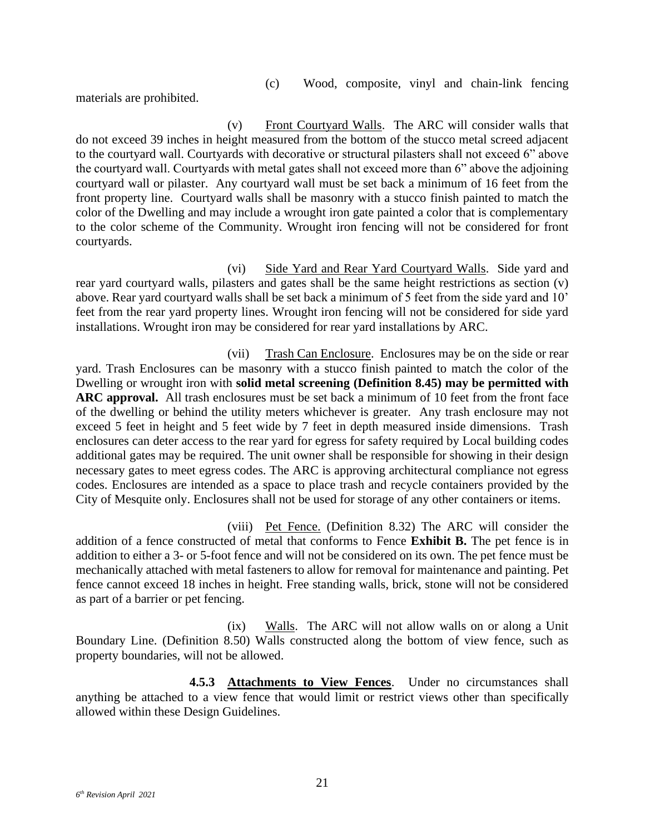(c) Wood, composite, vinyl and chain-link fencing

materials are prohibited.

(v) Front Courtyard Walls. The ARC will consider walls that do not exceed 39 inches in height measured from the bottom of the stucco metal screed adjacent to the courtyard wall. Courtyards with decorative or structural pilasters shall not exceed 6" above the courtyard wall. Courtyards with metal gates shall not exceed more than 6" above the adjoining courtyard wall or pilaster. Any courtyard wall must be set back a minimum of 16 feet from the front property line. Courtyard walls shall be masonry with a stucco finish painted to match the color of the Dwelling and may include a wrought iron gate painted a color that is complementary to the color scheme of the Community. Wrought iron fencing will not be considered for front courtyards.

(vi) Side Yard and Rear Yard Courtyard Walls. Side yard and rear yard courtyard walls, pilasters and gates shall be the same height restrictions as section (v) above. Rear yard courtyard walls shall be set back a minimum of 5 feet from the side yard and 10' feet from the rear yard property lines. Wrought iron fencing will not be considered for side yard installations. Wrought iron may be considered for rear yard installations by ARC.

(vii) Trash Can Enclosure. Enclosures may be on the side or rear yard. Trash Enclosures can be masonry with a stucco finish painted to match the color of the Dwelling or wrought iron with **solid metal screening (Definition 8.45) may be permitted with ARC approval.** All trash enclosures must be set back a minimum of 10 feet from the front face of the dwelling or behind the utility meters whichever is greater. Any trash enclosure may not exceed 5 feet in height and 5 feet wide by 7 feet in depth measured inside dimensions. Trash enclosures can deter access to the rear yard for egress for safety required by Local building codes additional gates may be required. The unit owner shall be responsible for showing in their design necessary gates to meet egress codes. The ARC is approving architectural compliance not egress codes. Enclosures are intended as a space to place trash and recycle containers provided by the City of Mesquite only. Enclosures shall not be used for storage of any other containers or items.

(viii) Pet Fence. (Definition 8.32) The ARC will consider the addition of a fence constructed of metal that conforms to Fence **Exhibit B.** The pet fence is in addition to either a 3- or 5-foot fence and will not be considered on its own. The pet fence must be mechanically attached with metal fasteners to allow for removal for maintenance and painting. Pet fence cannot exceed 18 inches in height. Free standing walls, brick, stone will not be considered as part of a barrier or pet fencing.

(ix) Walls. The ARC will not allow walls on or along a Unit Boundary Line. (Definition 8.50) Walls constructed along the bottom of view fence, such as property boundaries, will not be allowed.

**4.5.3 Attachments to View Fences**. Under no circumstances shall anything be attached to a view fence that would limit or restrict views other than specifically allowed within these Design Guidelines.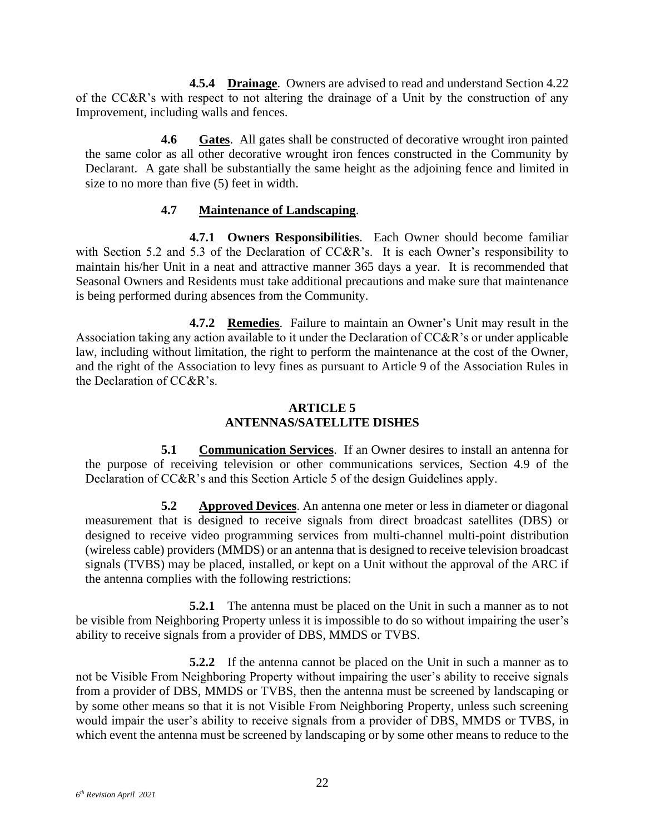**4.5.4 Drainage**. Owners are advised to read and understand Section 4.22 of the CC&R's with respect to not altering the drainage of a Unit by the construction of any Improvement, including walls and fences.

<span id="page-28-0"></span>**4.6 Gates**. All gates shall be constructed of decorative wrought iron painted the same color as all other decorative wrought iron fences constructed in the Community by Declarant. A gate shall be substantially the same height as the adjoining fence and limited in size to no more than five (5) feet in width.

#### **4.7 Maintenance of Landscaping**.

<span id="page-28-1"></span>**4.7.1 Owners Responsibilities**. Each Owner should become familiar with Section 5.2 and 5.3 of the Declaration of CC&R's. It is each Owner's responsibility to maintain his/her Unit in a neat and attractive manner 365 days a year. It is recommended that Seasonal Owners and Residents must take additional precautions and make sure that maintenance is being performed during absences from the Community.

**4.7.2 Remedies**. Failure to maintain an Owner's Unit may result in the Association taking any action available to it under the Declaration of CC&R's or under applicable law, including without limitation, the right to perform the maintenance at the cost of the Owner, and the right of the Association to levy fines as pursuant to Article 9 of the Association Rules in the Declaration of CC&R's.

#### **ARTICLE 5 ANTENNAS/SATELLITE DISHES**

<span id="page-28-3"></span><span id="page-28-2"></span>**5.1 Communication Services**. If an Owner desires to install an antenna for the purpose of receiving television or other communications services, Section 4.9 of the Declaration of CC&R's and this Section Article 5 of the design Guidelines apply.

<span id="page-28-4"></span>**5.2 Approved Devices**. An antenna one meter or less in diameter or diagonal measurement that is designed to receive signals from direct broadcast satellites (DBS) or designed to receive video programming services from multi-channel multi-point distribution (wireless cable) providers (MMDS) or an antenna that is designed to receive television broadcast signals (TVBS) may be placed, installed, or kept on a Unit without the approval of the ARC if the antenna complies with the following restrictions:

**5.2.1** The antenna must be placed on the Unit in such a manner as to not be visible from Neighboring Property unless it is impossible to do so without impairing the user's ability to receive signals from a provider of DBS, MMDS or TVBS.

**5.2.2** If the antenna cannot be placed on the Unit in such a manner as to not be Visible From Neighboring Property without impairing the user's ability to receive signals from a provider of DBS, MMDS or TVBS, then the antenna must be screened by landscaping or by some other means so that it is not Visible From Neighboring Property, unless such screening would impair the user's ability to receive signals from a provider of DBS, MMDS or TVBS, in which event the antenna must be screened by landscaping or by some other means to reduce to the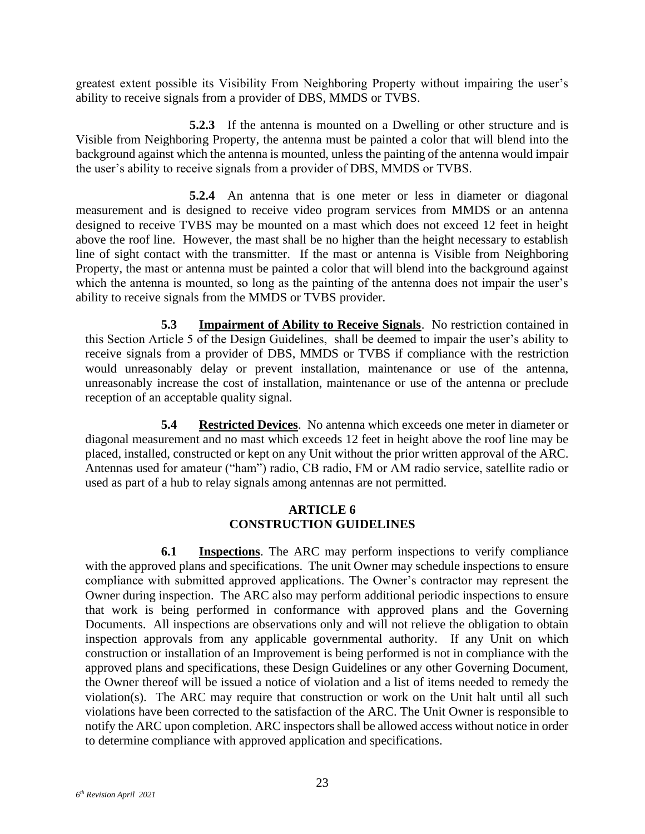greatest extent possible its Visibility From Neighboring Property without impairing the user's ability to receive signals from a provider of DBS, MMDS or TVBS.

**5.2.3** If the antenna is mounted on a Dwelling or other structure and is Visible from Neighboring Property, the antenna must be painted a color that will blend into the background against which the antenna is mounted, unless the painting of the antenna would impair the user's ability to receive signals from a provider of DBS, MMDS or TVBS.

**5.2.4** An antenna that is one meter or less in diameter or diagonal measurement and is designed to receive video program services from MMDS or an antenna designed to receive TVBS may be mounted on a mast which does not exceed 12 feet in height above the roof line. However, the mast shall be no higher than the height necessary to establish line of sight contact with the transmitter. If the mast or antenna is Visible from Neighboring Property, the mast or antenna must be painted a color that will blend into the background against which the antenna is mounted, so long as the painting of the antenna does not impair the user's ability to receive signals from the MMDS or TVBS provider.

<span id="page-29-0"></span>**5.3 Impairment of Ability to Receive Signals**. No restriction contained in this Section Article 5 of the Design Guidelines, shall be deemed to impair the user's ability to receive signals from a provider of DBS, MMDS or TVBS if compliance with the restriction would unreasonably delay or prevent installation, maintenance or use of the antenna, unreasonably increase the cost of installation, maintenance or use of the antenna or preclude reception of an acceptable quality signal.

<span id="page-29-1"></span>**5.4 Restricted Devices**. No antenna which exceeds one meter in diameter or diagonal measurement and no mast which exceeds 12 feet in height above the roof line may be placed, installed, constructed or kept on any Unit without the prior written approval of the ARC. Antennas used for amateur ("ham") radio, CB radio, FM or AM radio service, satellite radio or used as part of a hub to relay signals among antennas are not permitted.

#### **ARTICLE 6 CONSTRUCTION GUIDELINES**

<span id="page-29-3"></span><span id="page-29-2"></span>**6.1 Inspections**. The ARC may perform inspections to verify compliance with the approved plans and specifications. The unit Owner may schedule inspections to ensure compliance with submitted approved applications. The Owner's contractor may represent the Owner during inspection. The ARC also may perform additional periodic inspections to ensure that work is being performed in conformance with approved plans and the Governing Documents. All inspections are observations only and will not relieve the obligation to obtain inspection approvals from any applicable governmental authority. If any Unit on which construction or installation of an Improvement is being performed is not in compliance with the approved plans and specifications, these Design Guidelines or any other Governing Document, the Owner thereof will be issued a notice of violation and a list of items needed to remedy the violation(s). The ARC may require that construction or work on the Unit halt until all such violations have been corrected to the satisfaction of the ARC. The Unit Owner is responsible to notify the ARC upon completion. ARC inspectors shall be allowed access without notice in order to determine compliance with approved application and specifications.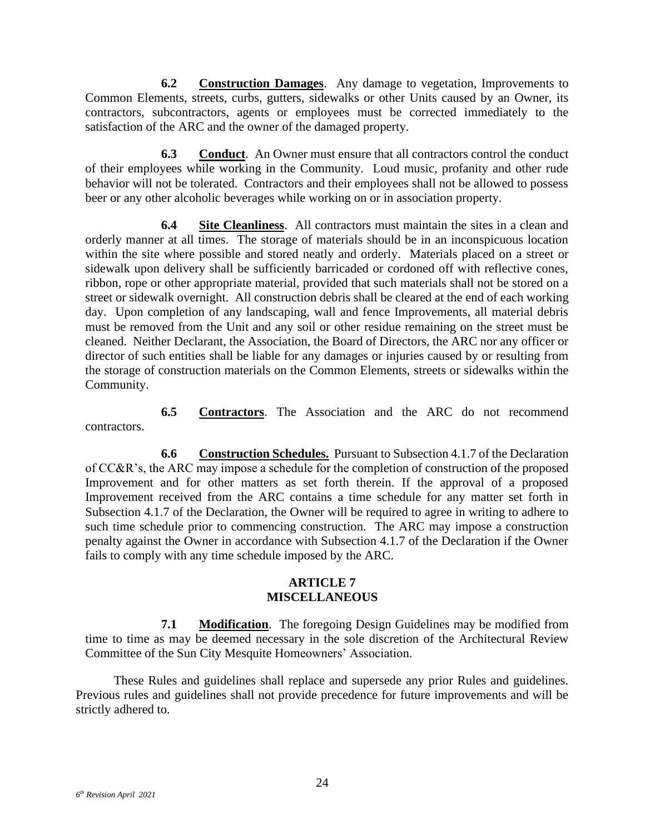<span id="page-30-0"></span>**6.2 Construction Damages**. Any damage to vegetation, Improvements to Common Elements, streets, curbs, gutters, sidewalks or other Units caused by an Owner, its contractors, subcontractors, agents or employees must be corrected immediately to the satisfaction of the ARC and the owner of the damaged property.

<span id="page-30-1"></span>**6.3 Conduct**. An Owner must ensure that all contractors control the conduct of their employees while working in the Community. Loud music, profanity and other rude behavior will not be tolerated. Contractors and their employees shall not be allowed to possess beer or any other alcoholic beverages while working on or in association property.

<span id="page-30-2"></span>**6.4 Site Cleanliness**. All contractors must maintain the sites in a clean and orderly manner at all times. The storage of materials should be in an inconspicuous location within the site where possible and stored neatly and orderly. Materials placed on a street or sidewalk upon delivery shall be sufficiently barricaded or cordoned off with reflective cones, ribbon, rope or other appropriate material, provided that such materials shall not be stored on a street or sidewalk overnight. All construction debris shall be cleared at the end of each working day. Upon completion of any landscaping, wall and fence Improvements, all material debris must be removed from the Unit and any soil or other residue remaining on the street must be cleaned. Neither Declarant, the Association, the Board of Directors, the ARC nor any officer or director of such entities shall be liable for any damages or injuries caused by or resulting from the storage of construction materials on the Common Elements, streets or sidewalks within the Community.

<span id="page-30-3"></span>**6.5 Contractors**. The Association and the ARC do not recommend contractors.

<span id="page-30-4"></span>**6.6 Construction Schedules.** Pursuant to Subsection 4.1.7 of the Declaration of CC&R's, the ARC may impose a schedule for the completion of construction of the proposed Improvement and for other matters as set forth therein. If the approval of a proposed Improvement received from the ARC contains a time schedule for any matter set forth in Subsection 4.1.7 of the Declaration, the Owner will be required to agree in writing to adhere to such time schedule prior to commencing construction. The ARC may impose a construction penalty against the Owner in accordance with Subsection 4.1.7 of the Declaration if the Owner fails to comply with any time schedule imposed by the ARC.

#### **ARTICLE 7 MISCELLANEOUS**

<span id="page-30-6"></span><span id="page-30-5"></span>**7.1 Modification**. The foregoing Design Guidelines may be modified from time to time as may be deemed necessary in the sole discretion of the Architectural Review Committee of the Sun City Mesquite Homeowners' Association.

These Rules and guidelines shall replace and supersede any prior Rules and guidelines. Previous rules and guidelines shall not provide precedence for future improvements and will be strictly adhered to.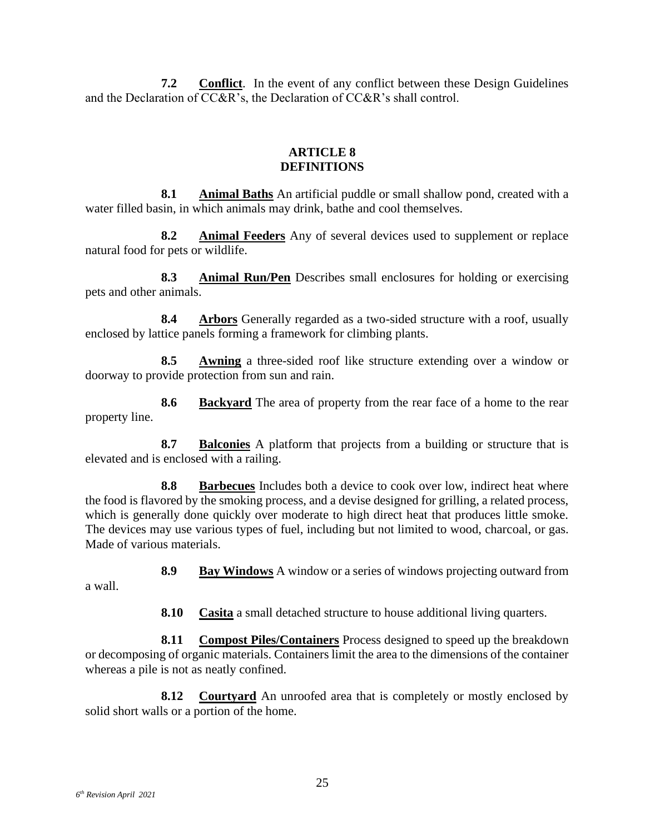<span id="page-31-0"></span>**7.2 Conflict**. In the event of any conflict between these Design Guidelines and the Declaration of CC&R's, the Declaration of CC&R's shall control.

#### **ARTICLE 8 DEFINITIONS**

<span id="page-31-2"></span><span id="page-31-1"></span>**8.1 Animal Baths** An artificial puddle or small shallow pond, created with a water filled basin, in which animals may drink, bathe and cool themselves.

<span id="page-31-3"></span>**8.2 Animal Feeders** Any of several devices used to supplement or replace natural food for pets or wildlife.

<span id="page-31-4"></span>**8.3 Animal Run/Pen** Describes small enclosures for holding or exercising pets and other animals.

<span id="page-31-5"></span>**8.4 Arbors** Generally regarded as a two-sided structure with a roof, usually enclosed by lattice panels forming a framework for climbing plants.

<span id="page-31-6"></span>**8.5 Awning** a three-sided roof like structure extending over a window or doorway to provide protection from sun and rain.

<span id="page-31-7"></span>**8.6 Backyard** The area of property from the rear face of a home to the rear property line.

<span id="page-31-8"></span>**8.7 Balconies** A platform that projects from a building or structure that is elevated and is enclosed with a railing.

<span id="page-31-9"></span>**8.8 Barbecues** Includes both a device to cook over low, indirect heat where the food is flavored by the smoking process, and a devise designed for grilling, a related process, which is generally done quickly over moderate to high direct heat that produces little smoke. The devices may use various types of fuel, including but not limited to wood, charcoal, or gas. Made of various materials.

**8.9 Bay Windows** A window or a series of windows projecting outward from

<span id="page-31-11"></span><span id="page-31-10"></span>a wall.

**8.10 Casita** a small detached structure to house additional living quarters.

<span id="page-31-12"></span>**8.11 Compost Piles/Containers** Process designed to speed up the breakdown or decomposing of organic materials. Containers limit the area to the dimensions of the container whereas a pile is not as neatly confined.

<span id="page-31-13"></span>**8.12 Courtyard** An unroofed area that is completely or mostly enclosed by solid short walls or a portion of the home.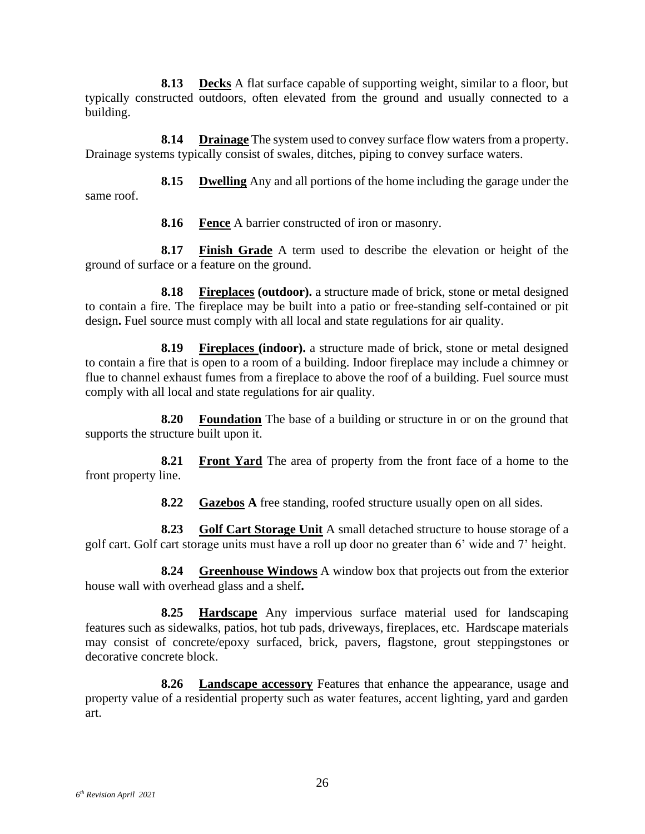<span id="page-32-0"></span>**8.13 Decks** A flat surface capable of supporting weight, similar to a floor, but typically constructed outdoors, often elevated from the ground and usually connected to a building.

<span id="page-32-1"></span>**8.14 Drainage** The system used to convey surface flow waters from a property. Drainage systems typically consist of swales, ditches, piping to convey surface waters.

<span id="page-32-2"></span>**8.15 Dwelling** Any and all portions of the home including the garage under the same roof.

**8.16 Fence** A barrier constructed of iron or masonry.

<span id="page-32-4"></span><span id="page-32-3"></span>**8.17 Finish Grade** A term used to describe the elevation or height of the ground of surface or a feature on the ground.

<span id="page-32-5"></span>**8.18 Fireplaces (outdoor).** a structure made of brick, stone or metal designed to contain a fire. The fireplace may be built into a patio or free-standing self-contained or pit design**.** Fuel source must comply with all local and state regulations for air quality.

<span id="page-32-6"></span>**8.19 Fireplaces (indoor).** a structure made of brick, stone or metal designed to contain a fire that is open to a room of a building. Indoor fireplace may include a chimney or flue to channel exhaust fumes from a fireplace to above the roof of a building. Fuel source must comply with all local and state regulations for air quality.

<span id="page-32-7"></span>**8.20 Foundation** The base of a building or structure in or on the ground that supports the structure built upon it.

<span id="page-32-8"></span>**8.21 Front Yard** The area of property from the front face of a home to the front property line.

**8.22 Gazebos A** free standing, roofed structure usually open on all sides.

<span id="page-32-10"></span><span id="page-32-9"></span>**8.23 Golf Cart Storage Unit** A small detached structure to house storage of a golf cart. Golf cart storage units must have a roll up door no greater than 6' wide and 7' height.

<span id="page-32-11"></span>**8.24 Greenhouse Windows** A window box that projects out from the exterior house wall with overhead glass and a shelf**.**

<span id="page-32-12"></span>**8.25 Hardscape** Any impervious surface material used for landscaping features such as sidewalks, patios, hot tub pads, driveways, fireplaces, etc. Hardscape materials may consist of concrete/epoxy surfaced, brick, pavers, flagstone, grout steppingstones or decorative concrete block.

<span id="page-32-13"></span>**8.26 Landscape accessory** Features that enhance the appearance, usage and property value of a residential property such as water features, accent lighting, yard and garden art.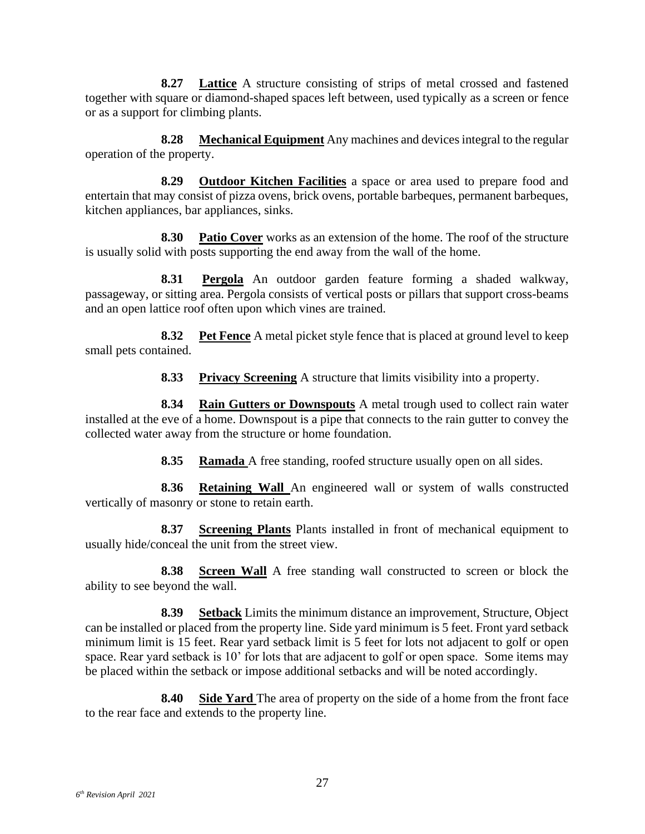<span id="page-33-0"></span>**8.27 Lattice** A structure consisting of strips of metal crossed and fastened together with square or diamond-shaped spaces left between, used typically as a screen or fence or as a support for climbing plants.

<span id="page-33-1"></span>**8.28 Mechanical Equipment** Any machines and devices integral to the regular operation of the property.

<span id="page-33-2"></span>**8.29 Outdoor Kitchen Facilities** a space or area used to prepare food and entertain that may consist of pizza ovens, brick ovens, portable barbeques, permanent barbeques, kitchen appliances, bar appliances, sinks.

<span id="page-33-3"></span>**8.30 Patio Cover** works as an extension of the home. The roof of the structure is usually solid with posts supporting the end away from the wall of the home.

**8.31 Pergola** An outdoor garden feature forming a shaded walkway, passageway, or sitting area. Pergola consists of vertical posts or pillars that support cross-beams and an open lattice roof often upon which vines are trained.

<span id="page-33-5"></span>**8.32 Pet Fence** A metal picket style fence that is placed at ground level to keep small pets contained.

<span id="page-33-4"></span>**8.33 Privacy Screening** A structure that limits visibility into a property.

<span id="page-33-7"></span><span id="page-33-6"></span>**8.34 Rain Gutters or Downspouts** A metal trough used to collect rain water installed at the eve of a home. Downspout is a pipe that connects to the rain gutter to convey the collected water away from the structure or home foundation.

**8.35 Ramada** A free standing, roofed structure usually open on all sides.

<span id="page-33-9"></span><span id="page-33-8"></span>**8.36 Retaining Wall** An engineered wall or system of walls constructed vertically of masonry or stone to retain earth.

<span id="page-33-10"></span>**8.37 Screening Plants** Plants installed in front of mechanical equipment to usually hide/conceal the unit from the street view.

<span id="page-33-11"></span>**8.38 Screen Wall** A free standing wall constructed to screen or block the ability to see beyond the wall.

<span id="page-33-12"></span>**8.39 Setback** Limits the minimum distance an improvement, Structure, Object can be installed or placed from the property line. Side yard minimum is 5 feet. Front yard setback minimum limit is 15 feet. Rear yard setback limit is 5 feet for lots not adjacent to golf or open space. Rear yard setback is 10' for lots that are adjacent to golf or open space. Some items may be placed within the setback or impose additional setbacks and will be noted accordingly.

<span id="page-33-13"></span>**8.40 Side Yard** The area of property on the side of a home from the front face to the rear face and extends to the property line.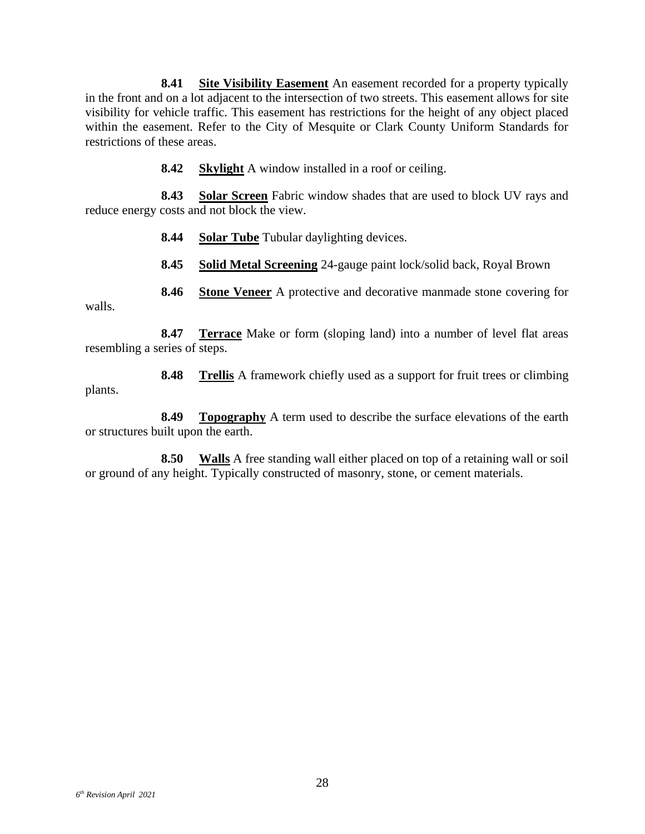<span id="page-34-0"></span>**8.41 Site Visibility Easement** An easement recorded for a property typically in the front and on a lot adjacent to the intersection of two streets. This easement allows for site visibility for vehicle traffic. This easement has restrictions for the height of any object placed within the easement. Refer to the City of Mesquite or Clark County Uniform Standards for restrictions of these areas.

**8.42 Skylight** A window installed in a roof or ceiling.

<span id="page-34-3"></span><span id="page-34-2"></span><span id="page-34-1"></span>**8.43 Solar Screen** Fabric window shades that are used to block UV rays and reduce energy costs and not block the view.

**8.44 Solar Tube** Tubular daylighting devices.

**8.45 Solid Metal Screening** 24-gauge paint lock/solid back, Royal Brown

**8.46 Stone Veneer** A protective and decorative manmade stone covering for

<span id="page-34-5"></span><span id="page-34-4"></span>walls.

<span id="page-34-6"></span>**8.47 Terrace** Make or form (sloping land) into a number of level flat areas resembling a series of steps.

<span id="page-34-7"></span>**8.48 Trellis** A framework chiefly used as a support for fruit trees or climbing plants.

<span id="page-34-8"></span>**8.49 Topography** A term used to describe the surface elevations of the earth or structures built upon the earth.

<span id="page-34-9"></span>**8.50 Walls** A free standing wall either placed on top of a retaining wall or soil or ground of any height. Typically constructed of masonry, stone, or cement materials.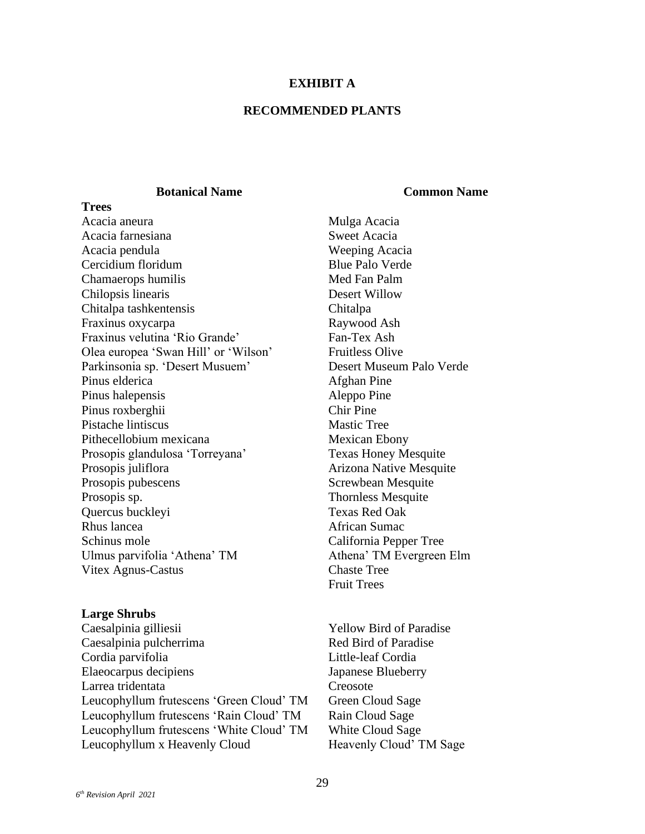#### **EXHIBIT A**

#### **RECOMMENDED PLANTS**

#### **Botanical Name Common Name**

**Trees** Acacia aneura **Mulga Acacia** Acacia farnesiana Sweet Acacia Acacia pendula Weeping Acacia Cercidium floridum Chamaerops humilis Chilopsis linearis Chitalpa tashkentensis Fraxinus oxycarpa Fraxinus velutina 'Rio Grande' Fan-Tex Ash Olea europea 'Swan Hill' or 'Wilson' Parkinsonia sp. 'Desert Musuem' Pinus elderica Afghan Pine Pinus halepensis Aleppo Pine Pinus roxberghii Pistache lintiscus Pithecellobium mexicana Mexican Ebony Prosopis glandulosa 'Torreyana' Texas Honey Mesquite Prosopis juliflora **Arizona Native Mesquite** Arizona Native Mesquite Prosopis pubescens Prosopis sp. Quercus buckleyi Texas Red Oak Rhus lancea African Sumac Schinus mole California Pepper Tree Ulmus parvifolia 'Athena' TM Athena' TM Evergreen Elm Vitex Agnus-Castus Chaste Tree

#### **Large Shrubs**

Caesalpinia gilliesii Caesalpinia pulcherrima Cordia parvifolia Elaeocarpus decipiens Larrea tridentata Creosote Leucophyllum frutescens 'Green Cloud' TM Green Cloud Sage Leucophyllum frutescens 'Rain Cloud' TM Rain Cloud Sage Leucophyllum frutescens 'White Cloud' TM White Cloud Sage Leucophyllum x Heavenly Cloud Heavenly Cloud' TM Sage

Blue Palo Verde Med Fan Palm Desert Willow Chitalpa Raywood Ash Fruitless Olive Desert Museum Palo Verde Chir Pine Mastic Tree Screwbean Mesquite Thornless Mesquite Fruit Trees

Yellow Bird of Paradise Red Bird of Paradise Little-leaf Cordia Japanese Blueberry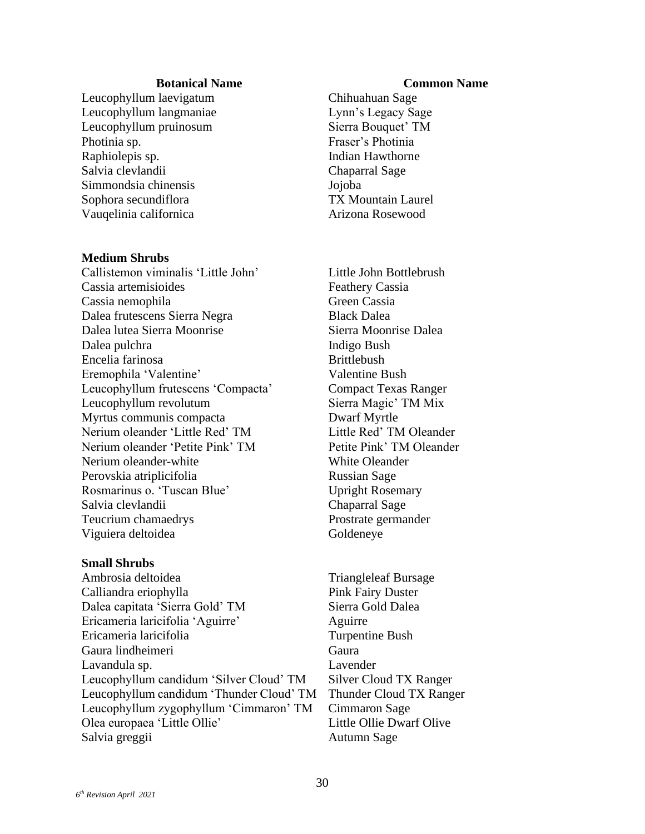#### **Botanical Name Common Name**

Leucophyllum laevigatum Leucophyllum langmaniae Leucophyllum pruinosum Sierra Bouquet' TM Photinia sp. **Fraser's Photinia** Raphiolepis sp. **Indian Hawthorne** Salvia clevlandii Chaparral Sage Simmondsia chinensis Jojoba Sophora secundiflora TX Mountain Laurel Vauqelinia californica Arizona Rosewood

#### **Medium Shrubs**

Callistemon viminalis 'Little John' Little John Bottlebrush Cassia artemisioides Feathery Cassia Cassia nemophila Green Cassia Dalea frutescens Sierra Negra Black Dalea Dalea lutea Sierra Moonrise Sierra Moonrise Dalea Dalea pulchra **Indigo** Bush Encelia farinosa Brittlebush Eremophila 'Valentine' Valentine Bush Leucophyllum frutescens 'Compacta' Compact Texas Ranger Leucophyllum revolutum Sierra Magic' TM Mix Myrtus communis compacta Dwarf Myrtle Nerium oleander 'Little Red' TM Little Red' TM Oleander Nerium oleander 'Petite Pink' TM Petite Pink' TM Oleander Nerium oleander-white Perovskia atriplicifolia Rosmarinus o. 'Tuscan Blue' Salvia clevlandii Teucrium chamaedrys Prostrate germander Viguiera deltoidea Goldeneye

#### **Small Shrubs**

Ambrosia deltoidea Triangleleaf Bursage Calliandra eriophylla Pink Fairy Duster Dalea capitata 'Sierra Gold' TM Sierra Gold Dalea Ericameria laricifolia 'Aguirre' Aguirre Ericameria laricifolia Turpentine Bush Gaura lindheimeri Lavandula sp. Leucophyllum candidum 'Silver Cloud' TM Silver Cloud TX Ranger Leucophyllum candidum 'Thunder Cloud' TM Thunder Cloud TX Ranger Leucophyllum zygophyllum 'Cimmaron' TM Olea europaea 'Little Ollie' Salvia greggii established alla proposante all'estate di Autumn Sage

Chihuahuan Sage Lynn's Legacy Sage

White Oleander Russian Sage Upright Rosemary Chaparral Sage

Gaura Lavender Cimmaron Sage Little Ollie Dwarf Olive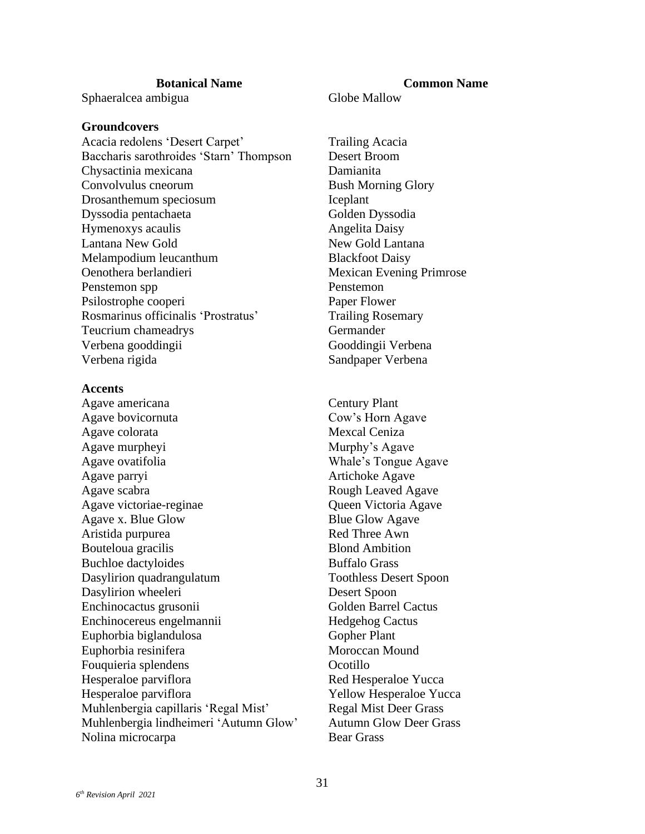Sphaeralcea ambigua Globe Mallow

#### **Groundcovers**

Acacia redolens 'Desert Carpet' Trailing Acacia Baccharis sarothroides 'Starn' Thompson Desert Broom Chysactinia mexicana Damianita Convolvulus cneorum Bush Morning Glory Drosanthemum speciosum Iceplant Dyssodia pentachaeta Golden Dyssodia Hymenoxys acaulis Angelita Daisy Lantana New Gold **New Gold Lantana** Melampodium leucanthum Blackfoot Daisy Oenothera berlandieri Mexican Evening Primrose Penstemon spp Penstemon Psilostrophe cooperi Paper Flower Rosmarinus officinalis 'Prostratus' Trailing Rosemary Teucrium chameadrys Germander Verbena gooddingii Gooddingii Verbena Verbena rigida Sandpaper Verbena

#### **Accents**

Agave americana Agave bovicornuta Agave colorata Mexcal Ceniza Agave murpheyi Agave ovatifolia Agave parryi Artichoke Agave Agave scabra Agave victoriae-reginae Agave x. Blue Glow Aristida purpurea Bouteloua gracilis Buchloe dactyloides Buffalo Grass Dasylirion quadrangulatum Toothless Desert Spoon Dasylirion wheeleri Enchinocactus grusonii Enchinocereus engelmannii Euphorbia biglandulosa Euphorbia resinifera Fouquieria splendens **Ocotillo** Hesperaloe parviflora Red Hesperaloe Yucca Hesperaloe parviflora Yellow Hesperaloe Yucca Muhlenbergia capillaris 'Regal Mist' Regal Mist Deer Grass Muhlenbergia lindheimeri 'Autumn Glow' Autumn Glow Deer Grass Nolina microcarpa Bear Grass

# **Botanical Name Common Name**

Century Plant Cow's Horn Agave Murphy's Agave Whale's Tongue Agave Rough Leaved Agave Queen Victoria Agave Blue Glow Agave Red Three Awn Blond Ambition Desert Spoon Golden Barrel Cactus Hedgehog Cactus Gopher Plant Moroccan Mound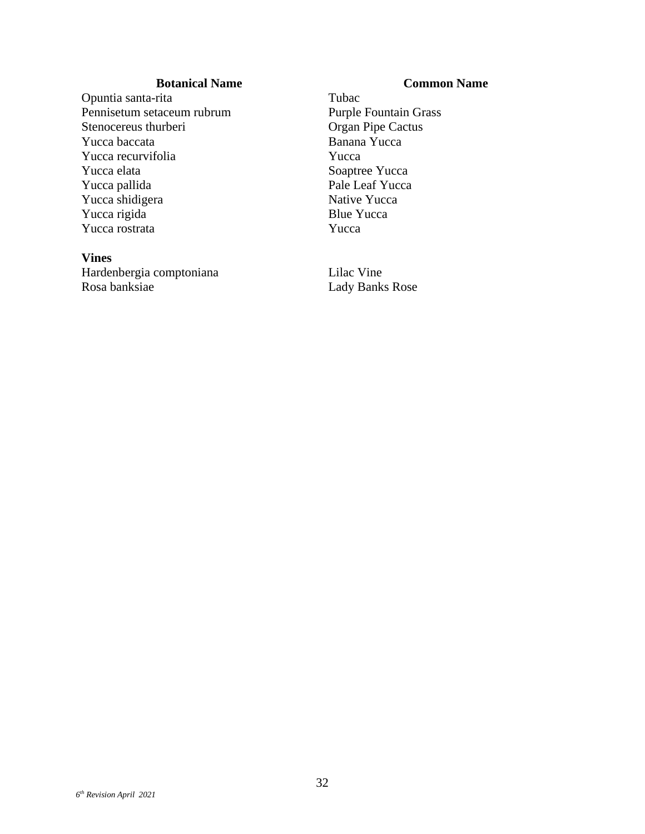#### **Botanical Name Common Name**

Opuntia santa-rita Pennisetum setaceum rubrum Stenocereus thurberi Yucca baccata Banana Yucca Yucca recurvifolia Yucca Yucca elata Yucca pallida Yucca shidigera Native Yucca Yucca rigida Blue Yucca Yucca rostrata Yucca Yucca

#### **Vines**

Hardenbergia comptoniana Lilac Vine Rosa banksiae Lady Banks Rose

Tubac Purple Fountain Grass Organ Pipe Cactus Soaptree Yucca Pale Leaf Yucca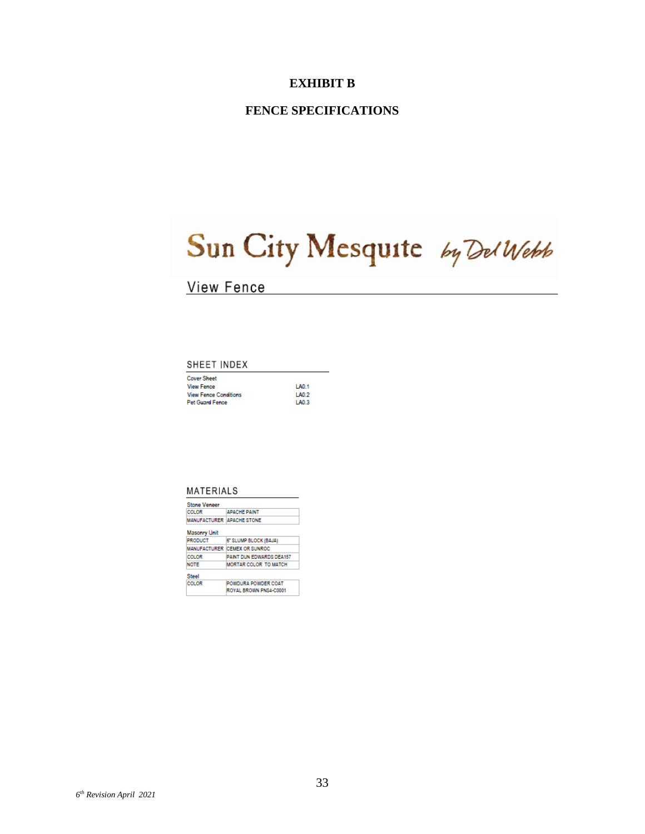#### **FENCE SPECIFICATIONS**

# Sun City Mesquite by Del Webb

## **View Fence**

#### SHEET INDEX

| <b>Cover Sheet</b>           |                  |
|------------------------------|------------------|
| <b>View Fence</b>            | LA0.1            |
| <b>View Fence Conditions</b> | LA0 <sub>2</sub> |
| <b>Pet Guard Fence</b>       | 1 AO 3           |

#### MATERIALS

| <b>Stone Veneer</b>              |                                 |  |
|----------------------------------|---------------------------------|--|
| <b>COLOR</b>                     | <b>APACHE PAINT</b>             |  |
| <b>MANUFACTURER APACHE STONE</b> |                                 |  |
| <b>Masonry Unit</b>              |                                 |  |
| <b>PRODUCT</b>                   | 6" SLUMP BLOCK (BAJA)           |  |
|                                  | MANUFACTURER CEMEX OR SUNROC    |  |
| COLOR                            | <b>PAINT DUN EDWARDS DEA157</b> |  |
| <b>NOTE</b>                      | MORTAR COLOR TO MATCH           |  |
| Steel                            |                                 |  |
| <b>COLOR</b>                     | POWDURA POWDER COAT             |  |
|                                  | ROYAL BROWN PNS4-C0001          |  |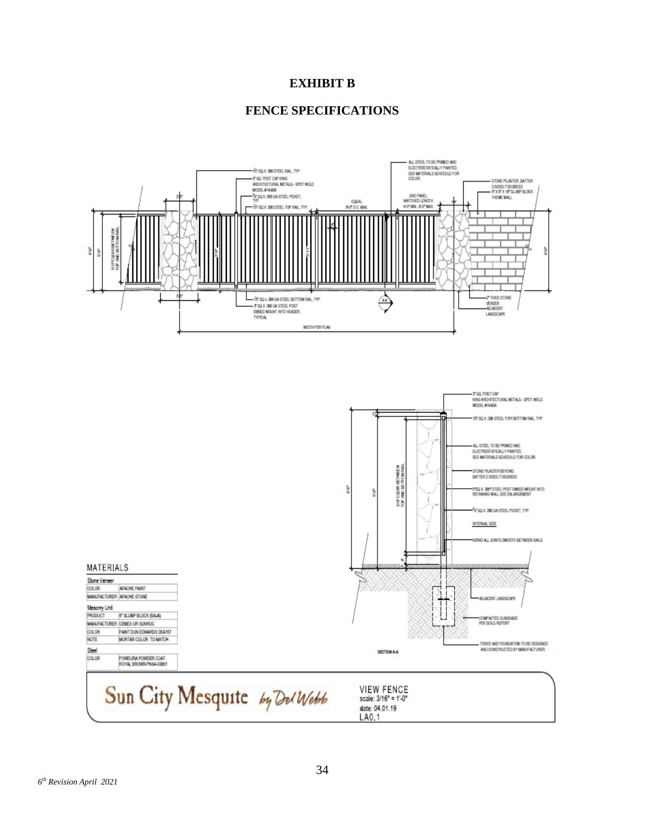#### **FENCE SPECIFICATIONS**



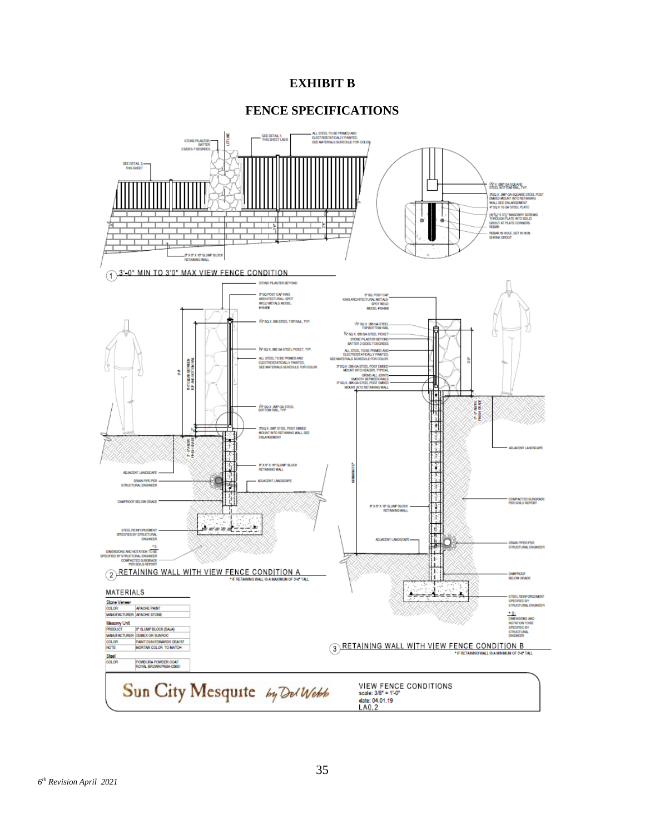#### **FENCE SPECIFICATIONS**

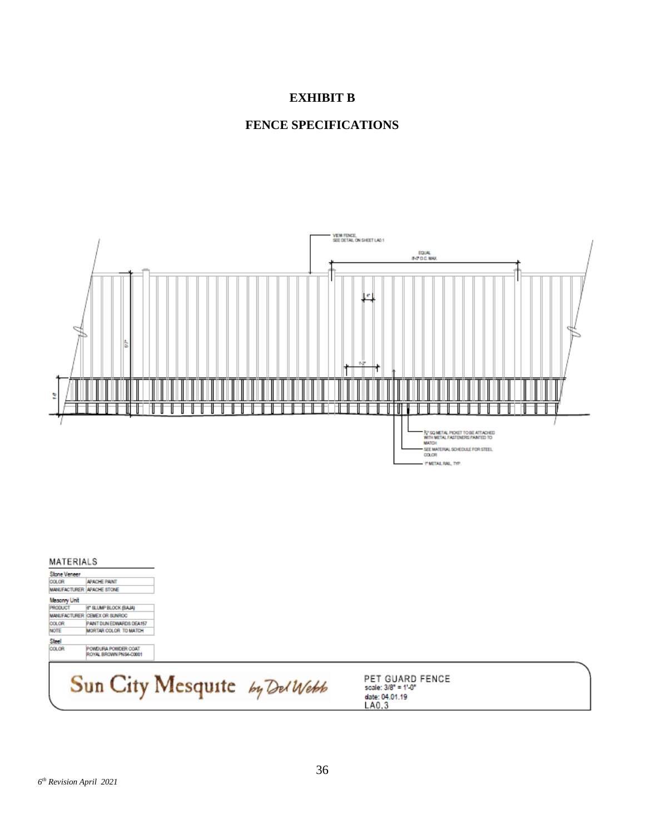



#### MATERIALS

| Stone Veneer |                                               |  |
|--------------|-----------------------------------------------|--|
| COLOR        | <b>APACHE PAINT</b>                           |  |
|              | <b>MANUFACTURER APACHE STONE</b>              |  |
| Masonry Unit |                                               |  |
| PRODUCT      | 6" SLUMP BLOCK (BAJA)                         |  |
|              | MANUFACTURER ICEMEX OR SUNROC                 |  |
| COLOR        | PAINT DUN EDWARDS DEA157                      |  |
| <b>NOTE</b>  | MORTAR COLOR TO MATCH                         |  |
| Sted         |                                               |  |
| COLOR        | POWDURA POWDER COAT<br>ROYAL BROWN PNS4-C0001 |  |

# Sun City Mesquite by Del Webb

PET GUARD FENCE<br>scale: 3/8" = 1'-0" date: 04.01.19<br>LA0.3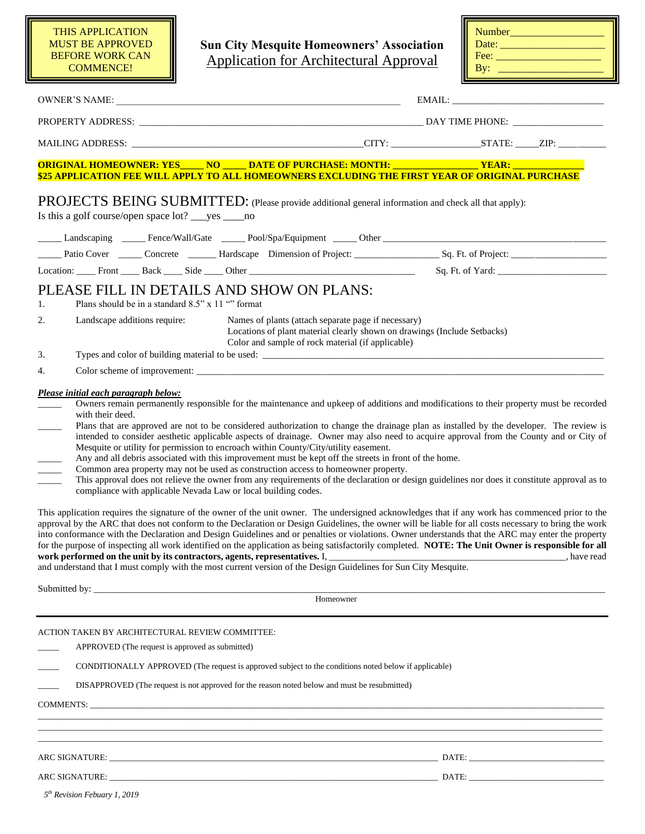**Sun City Mesquite Homeowners' Association** Application for Architectural Approval

| <b>Number</b> |  |
|---------------|--|
| Date:         |  |
| Fee:          |  |
| By:           |  |

| ORIGINAL HOMEOWNER: YES_____ NO _____ DATE OF PURCHASE: MONTH: __________________YEAR: ____________<br>\$25 APPLICATION FEE WILL APPLY TO ALL HOMEOWNERS EXCLUDING THE FIRST YEAR OF ORIGINAL PURCHASE                                                                                                                                                                                                                                                                                                                                                                                                                                                                                                                                                                                                                                                                                                                                                                                                                                                                                                                                                                                                                                                                                                                                                                                                                                                                                                                                                                     |                                                                                                                                                                                      |  |  |           |
|----------------------------------------------------------------------------------------------------------------------------------------------------------------------------------------------------------------------------------------------------------------------------------------------------------------------------------------------------------------------------------------------------------------------------------------------------------------------------------------------------------------------------------------------------------------------------------------------------------------------------------------------------------------------------------------------------------------------------------------------------------------------------------------------------------------------------------------------------------------------------------------------------------------------------------------------------------------------------------------------------------------------------------------------------------------------------------------------------------------------------------------------------------------------------------------------------------------------------------------------------------------------------------------------------------------------------------------------------------------------------------------------------------------------------------------------------------------------------------------------------------------------------------------------------------------------------|--------------------------------------------------------------------------------------------------------------------------------------------------------------------------------------|--|--|-----------|
| PROJECTS BEING SUBMITTED: (Please provide additional general information and check all that apply):<br>Is this a golf course/open space lot? _____ yes ______ no                                                                                                                                                                                                                                                                                                                                                                                                                                                                                                                                                                                                                                                                                                                                                                                                                                                                                                                                                                                                                                                                                                                                                                                                                                                                                                                                                                                                           |                                                                                                                                                                                      |  |  |           |
| Landscaping ______ Fence/Wall/Gate ______ Pool/Spa/Equipment ______ Other ________________________________                                                                                                                                                                                                                                                                                                                                                                                                                                                                                                                                                                                                                                                                                                                                                                                                                                                                                                                                                                                                                                                                                                                                                                                                                                                                                                                                                                                                                                                                 |                                                                                                                                                                                      |  |  |           |
|                                                                                                                                                                                                                                                                                                                                                                                                                                                                                                                                                                                                                                                                                                                                                                                                                                                                                                                                                                                                                                                                                                                                                                                                                                                                                                                                                                                                                                                                                                                                                                            |                                                                                                                                                                                      |  |  |           |
| Location: Front Back Side Other Communication Sq. Ft. of Yard:                                                                                                                                                                                                                                                                                                                                                                                                                                                                                                                                                                                                                                                                                                                                                                                                                                                                                                                                                                                                                                                                                                                                                                                                                                                                                                                                                                                                                                                                                                             |                                                                                                                                                                                      |  |  |           |
| PLEASE FILL IN DETAILS AND SHOW ON PLANS:<br>Plans should be in a standard 8.5" x 11 "" format<br>1.                                                                                                                                                                                                                                                                                                                                                                                                                                                                                                                                                                                                                                                                                                                                                                                                                                                                                                                                                                                                                                                                                                                                                                                                                                                                                                                                                                                                                                                                       |                                                                                                                                                                                      |  |  |           |
| 2.<br>Landscape additions require:                                                                                                                                                                                                                                                                                                                                                                                                                                                                                                                                                                                                                                                                                                                                                                                                                                                                                                                                                                                                                                                                                                                                                                                                                                                                                                                                                                                                                                                                                                                                         | Names of plants (attach separate page if necessary)<br>Locations of plant material clearly shown on drawings (Include Setbacks)<br>Color and sample of rock material (if applicable) |  |  |           |
| 3.                                                                                                                                                                                                                                                                                                                                                                                                                                                                                                                                                                                                                                                                                                                                                                                                                                                                                                                                                                                                                                                                                                                                                                                                                                                                                                                                                                                                                                                                                                                                                                         |                                                                                                                                                                                      |  |  |           |
| 4.                                                                                                                                                                                                                                                                                                                                                                                                                                                                                                                                                                                                                                                                                                                                                                                                                                                                                                                                                                                                                                                                                                                                                                                                                                                                                                                                                                                                                                                                                                                                                                         |                                                                                                                                                                                      |  |  |           |
| with their deed.<br>Plans that are approved are not to be considered authorization to change the drainage plan as installed by the developer. The review is<br>intended to consider aesthetic applicable aspects of drainage. Owner may also need to acquire approval from the County and or City of<br>Mesquite or utility for permission to encroach within County/City/utility easement.<br>Any and all debris associated with this improvement must be kept off the streets in front of the home.<br>Common area property may not be used as construction access to homeowner property.<br>This approval does not relieve the owner from any requirements of the declaration or design guidelines nor does it constitute approval as to<br>compliance with applicable Nevada Law or local building codes.<br>This application requires the signature of the owner of the unit owner. The undersigned acknowledges that if any work has commenced prior to the<br>approval by the ARC that does not conform to the Declaration or Design Guidelines, the owner will be liable for all costs necessary to bring the work<br>into conformance with the Declaration and Design Guidelines and or penalties or violations. Owner understands that the ARC may enter the property<br>for the purpose of inspecting all work identified on the application as being satisfactorily completed. NOTE: The Unit Owner is responsible for all<br>and understand that I must comply with the most current version of the Design Guidelines for Sun City Mesquite.<br>Submitted by: |                                                                                                                                                                                      |  |  | have read |
|                                                                                                                                                                                                                                                                                                                                                                                                                                                                                                                                                                                                                                                                                                                                                                                                                                                                                                                                                                                                                                                                                                                                                                                                                                                                                                                                                                                                                                                                                                                                                                            | Homeowner                                                                                                                                                                            |  |  |           |
| ACTION TAKEN BY ARCHITECTURAL REVIEW COMMITTEE:<br>APPROVED (The request is approved as submitted)<br>CONDITIONALLY APPROVED (The request is approved subject to the conditions noted below if applicable)                                                                                                                                                                                                                                                                                                                                                                                                                                                                                                                                                                                                                                                                                                                                                                                                                                                                                                                                                                                                                                                                                                                                                                                                                                                                                                                                                                 |                                                                                                                                                                                      |  |  |           |
| DISAPPROVED (The request is not approved for the reason noted below and must be resubmitted)                                                                                                                                                                                                                                                                                                                                                                                                                                                                                                                                                                                                                                                                                                                                                                                                                                                                                                                                                                                                                                                                                                                                                                                                                                                                                                                                                                                                                                                                               |                                                                                                                                                                                      |  |  |           |

ARC SIGNATURE: \_\_\_\_\_\_\_\_\_\_\_\_\_\_\_\_\_\_\_\_\_\_\_\_\_\_\_\_\_\_\_\_\_\_\_\_\_\_\_\_\_\_\_\_\_\_\_\_\_\_\_\_\_\_\_\_\_\_\_\_\_\_\_\_\_\_\_\_\_\_\_\_\_\_\_\_\_\_ DATE: \_\_\_\_\_\_\_\_\_\_\_\_\_\_\_\_\_\_\_\_\_\_\_\_\_\_\_\_\_\_\_\_

ARC SIGNATURE: \_\_\_\_\_\_\_\_\_\_\_\_\_\_\_\_\_\_\_\_\_\_\_\_\_\_\_\_\_\_\_\_\_\_\_\_\_\_\_\_\_\_\_\_\_\_\_\_\_\_\_\_\_\_\_\_\_\_\_\_\_\_\_\_\_\_\_\_\_\_\_\_\_\_\_\_\_\_ DATE: \_\_\_\_\_\_\_\_\_\_\_\_\_\_\_\_\_\_\_\_\_\_\_\_\_\_\_\_\_\_\_\_

*5 th Revision Febuary 1, 2019*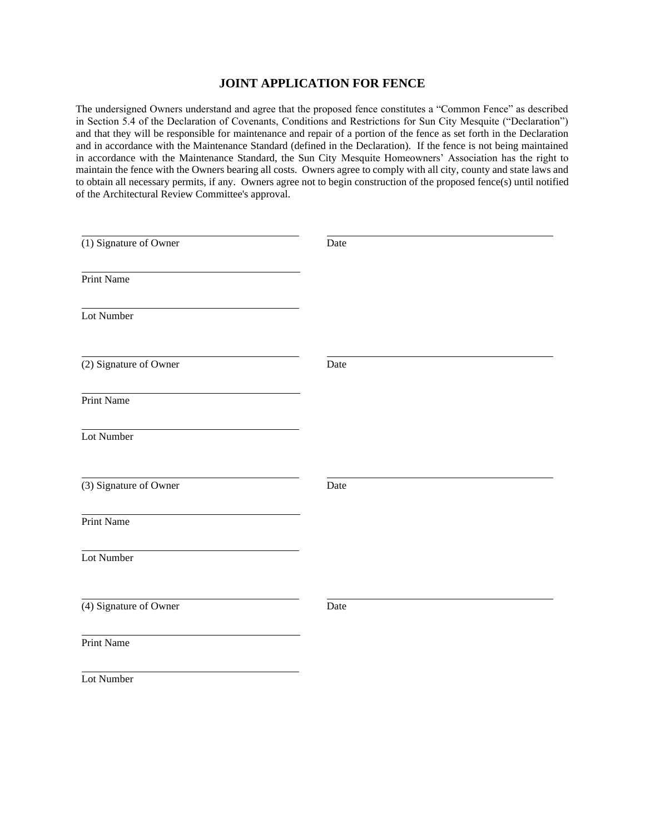#### **JOINT APPLICATION FOR FENCE**

The undersigned Owners understand and agree that the proposed fence constitutes a "Common Fence" as described in Section 5.4 of the Declaration of Covenants, Conditions and Restrictions for Sun City Mesquite ("Declaration") and that they will be responsible for maintenance and repair of a portion of the fence as set forth in the Declaration and in accordance with the Maintenance Standard (defined in the Declaration). If the fence is not being maintained in accordance with the Maintenance Standard, the Sun City Mesquite Homeowners' Association has the right to maintain the fence with the Owners bearing all costs. Owners agree to comply with all city, county and state laws and to obtain all necessary permits, if any. Owners agree not to begin construction of the proposed fence(s) until notified of the Architectural Review Committee's approval.

| (1) Signature of Owner | Date |
|------------------------|------|
| Print Name             |      |
| Lot Number             |      |
| (2) Signature of Owner | Date |
| Print Name             |      |
| Lot Number             |      |
| (3) Signature of Owner | Date |
| Print Name             |      |
| Lot Number             |      |
| (4) Signature of Owner | Date |
| Print Name             |      |
| Lot Number             |      |